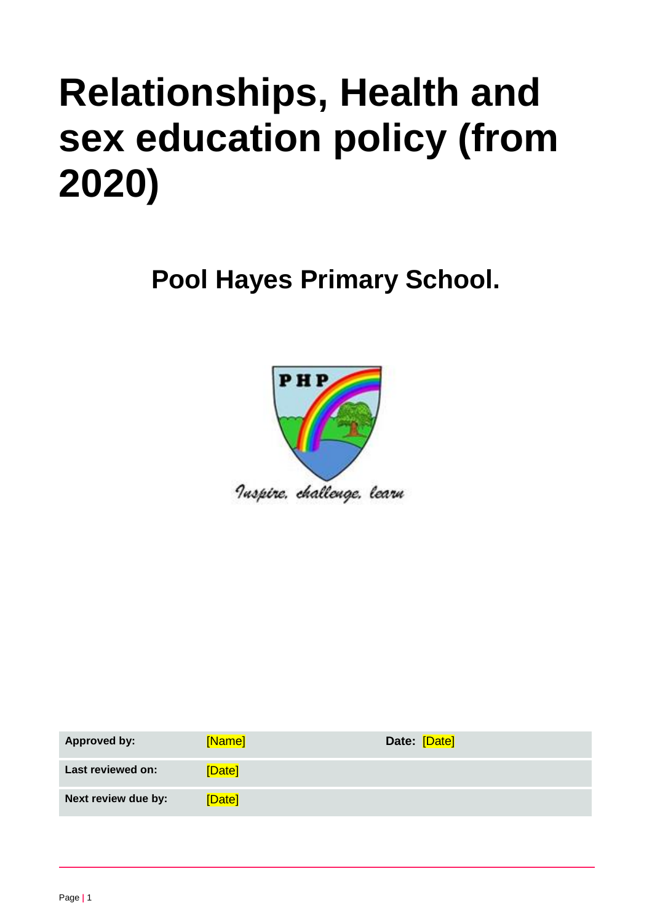# **Relationships, Health and sex education policy (from 2020)**

**Pool Hayes Primary School.**



| Approved by:        | [Name] | Date: [Date] |
|---------------------|--------|--------------|
| Last reviewed on:   | [Date] |              |
| Next review due by: | [Date] |              |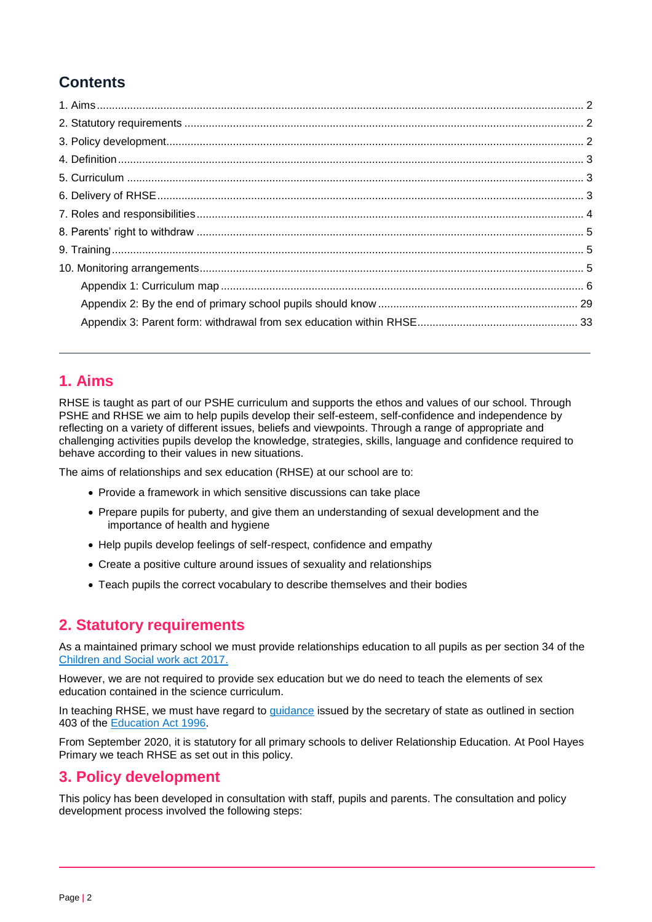## **Contents**

### <span id="page-1-0"></span>**1. Aims**

RHSE is taught as part of our PSHE curriculum and supports the ethos and values of our school. Through PSHE and RHSE we aim to help pupils develop their self-esteem, self-confidence and independence by reflecting on a variety of different issues, beliefs and viewpoints. Through a range of appropriate and challenging activities pupils develop the knowledge, strategies, skills, language and confidence required to behave according to their values in new situations.

The aims of relationships and sex education (RHSE) at our school are to:

- Provide a framework in which sensitive discussions can take place
- Prepare pupils for puberty, and give them an understanding of sexual development and the importance of health and hygiene
- Help pupils develop feelings of self-respect, confidence and empathy
- Create a positive culture around issues of sexuality and relationships
- Teach pupils the correct vocabulary to describe themselves and their bodies

#### <span id="page-1-1"></span>**2. Statutory requirements**

As a maintained primary school we must provide relationships education to all pupils as per section 34 of the [Children and Social work act 2017.](http://www.legislation.gov.uk/ukpga/2017/16/section/34/enacted)

However, we are not required to provide sex education but we do need to teach the elements of sex education contained in the science curriculum.

In teaching RHSE, we must have regard to [guidance](https://www.gov.uk/government/consultations/relationships-and-sex-education-and-health-education) issued by the secretary of state as outlined in section 403 of the [Education Act 1996.](http://www.legislation.gov.uk/ukpga/1996/56/contents)

From September 2020, it is statutory for all primary schools to deliver Relationship Education. At Pool Hayes Primary we teach RHSE as set out in this policy.

#### <span id="page-1-2"></span>**3. Policy development**

This policy has been developed in consultation with staff, pupils and parents. The consultation and policy development process involved the following steps: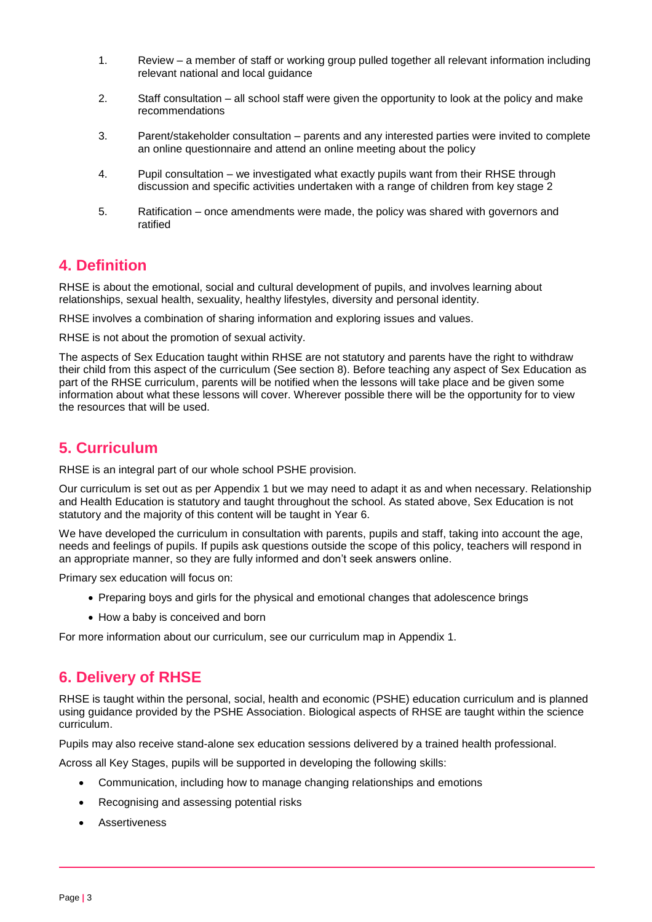- 1. Review a member of staff or working group pulled together all relevant information including relevant national and local guidance
- 2. Staff consultation all school staff were given the opportunity to look at the policy and make recommendations
- 3. Parent/stakeholder consultation parents and any interested parties were invited to complete an online questionnaire and attend an online meeting about the policy
- 4. Pupil consultation we investigated what exactly pupils want from their RHSE through discussion and specific activities undertaken with a range of children from key stage 2
- 5. Ratification once amendments were made, the policy was shared with governors and ratified

### <span id="page-2-0"></span>**4. Definition**

RHSE is about the emotional, social and cultural development of pupils, and involves learning about relationships, sexual health, sexuality, healthy lifestyles, diversity and personal identity.

RHSE involves a combination of sharing information and exploring issues and values.

RHSE is not about the promotion of sexual activity.

The aspects of Sex Education taught within RHSE are not statutory and parents have the right to withdraw their child from this aspect of the curriculum (See section 8). Before teaching any aspect of Sex Education as part of the RHSE curriculum, parents will be notified when the lessons will take place and be given some information about what these lessons will cover. Wherever possible there will be the opportunity for to view the resources that will be used.

### <span id="page-2-1"></span>**5. Curriculum**

RHSE is an integral part of our whole school PSHE provision.

Our curriculum is set out as per Appendix 1 but we may need to adapt it as and when necessary. Relationship and Health Education is statutory and taught throughout the school. As stated above, Sex Education is not statutory and the majority of this content will be taught in Year 6.

We have developed the curriculum in consultation with parents, pupils and staff, taking into account the age, needs and feelings of pupils. If pupils ask questions outside the scope of this policy, teachers will respond in an appropriate manner, so they are fully informed and don't seek answers online.

Primary sex education will focus on:

- Preparing boys and girls for the physical and emotional changes that adolescence brings
- How a baby is conceived and born

For more information about our curriculum, see our curriculum map in Appendix 1.

## <span id="page-2-2"></span>**6. Delivery of RHSE**

RHSE is taught within the personal, social, health and economic (PSHE) education curriculum and is planned using guidance provided by the PSHE Association. Biological aspects of RHSE are taught within the science curriculum.

Pupils may also receive stand-alone sex education sessions delivered by a trained health professional.

Across all Key Stages, pupils will be supported in developing the following skills:

- Communication, including how to manage changing relationships and emotions
- Recognising and assessing potential risks
- Assertiveness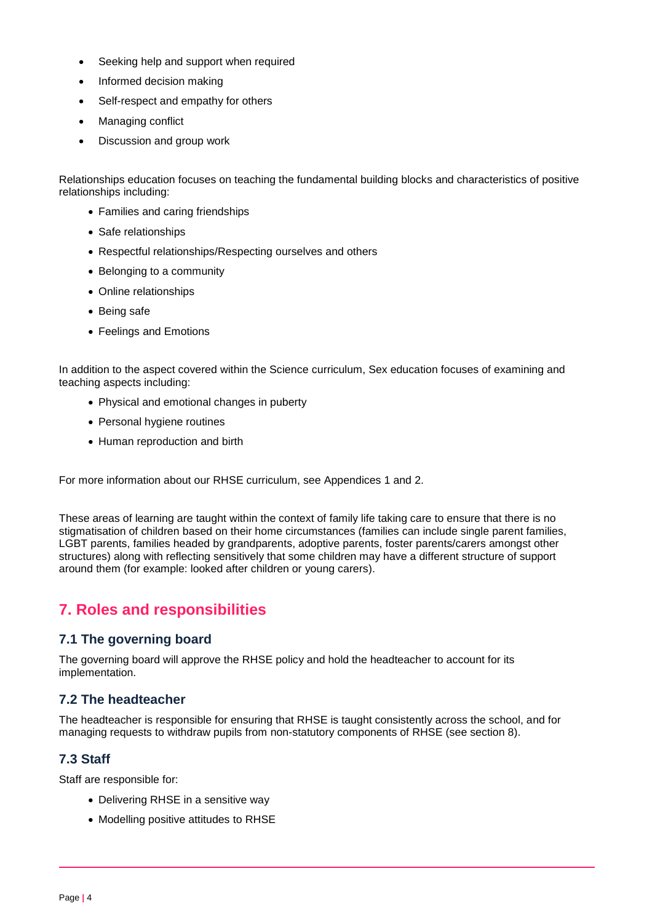- Seeking help and support when required
- Informed decision making
- Self-respect and empathy for others
- Managing conflict
- Discussion and group work

Relationships education focuses on teaching the fundamental building blocks and characteristics of positive relationships including:

- Families and caring friendships
- Safe relationships
- Respectful relationships/Respecting ourselves and others
- Belonging to a community
- Online relationships
- Being safe
- Feelings and Emotions

In addition to the aspect covered within the Science curriculum, Sex education focuses of examining and teaching aspects including:

- Physical and emotional changes in puberty
- Personal hygiene routines
- Human reproduction and birth

For more information about our RHSE curriculum, see Appendices 1 and 2.

These areas of learning are taught within the context of family life taking care to ensure that there is no stigmatisation of children based on their home circumstances (families can include single parent families, LGBT parents, families headed by grandparents, adoptive parents, foster parents/carers amongst other structures) along with reflecting sensitively that some children may have a different structure of support around them (for example: looked after children or young carers).

## <span id="page-3-0"></span>**7. Roles and responsibilities**

#### **7.1 The governing board**

The governing board will approve the RHSE policy and hold the headteacher to account for its implementation.

#### **7.2 The headteacher**

The headteacher is responsible for ensuring that RHSE is taught consistently across the school, and for managing requests to withdraw pupils from non-statutory components of RHSE (see section 8).

#### **7.3 Staff**

Staff are responsible for:

- Delivering RHSE in a sensitive way
- Modelling positive attitudes to RHSE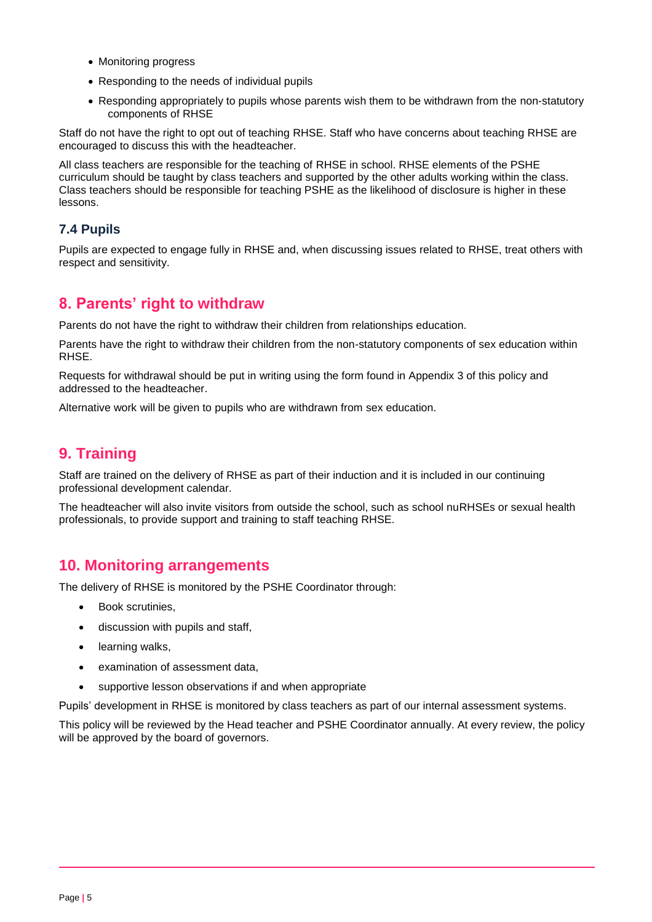- Monitoring progress
- Responding to the needs of individual pupils
- Responding appropriately to pupils whose parents wish them to be withdrawn from the non-statutory components of RHSE

Staff do not have the right to opt out of teaching RHSE. Staff who have concerns about teaching RHSE are encouraged to discuss this with the headteacher.

All class teachers are responsible for the teaching of RHSE in school. RHSE elements of the PSHE curriculum should be taught by class teachers and supported by the other adults working within the class. Class teachers should be responsible for teaching PSHE as the likelihood of disclosure is higher in these lessons.

#### **7.4 Pupils**

Pupils are expected to engage fully in RHSE and, when discussing issues related to RHSE, treat others with respect and sensitivity.

#### <span id="page-4-0"></span>**8. Parents' right to withdraw**

Parents do not have the right to withdraw their children from relationships education.

Parents have the right to withdraw their children from the non-statutory components of sex education within RHSE.

Requests for withdrawal should be put in writing using the form found in Appendix 3 of this policy and addressed to the headteacher.

Alternative work will be given to pupils who are withdrawn from sex education.

## <span id="page-4-1"></span>**9. Training**

Staff are trained on the delivery of RHSE as part of their induction and it is included in our continuing professional development calendar.

The headteacher will also invite visitors from outside the school, such as school nuRHSEs or sexual health professionals, to provide support and training to staff teaching RHSE.

### <span id="page-4-2"></span>**10. Monitoring arrangements**

The delivery of RHSE is monitored by the PSHE Coordinator through:

- Book scrutinies,
- discussion with pupils and staff,
- learning walks,
- examination of assessment data,
- supportive lesson observations if and when appropriate

Pupils' development in RHSE is monitored by class teachers as part of our internal assessment systems.

This policy will be reviewed by the Head teacher and PSHE Coordinator annually. At every review, the policy will be approved by the board of governors.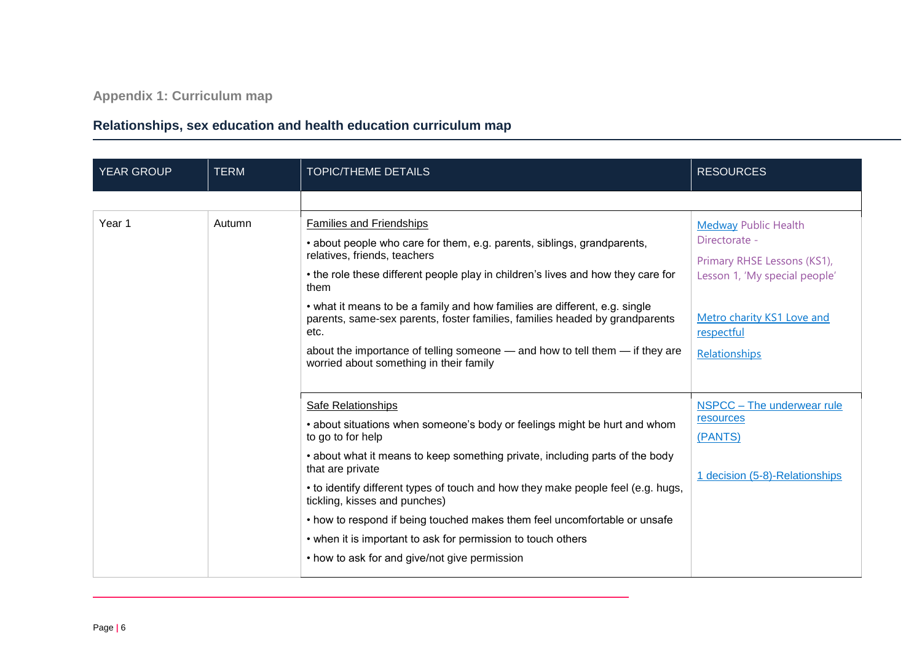**Appendix 1: Curriculum map**

## **Relationships, sex education and health education curriculum map**

<span id="page-5-0"></span>

| <b>YEAR GROUP</b> | <b>TERM</b> | <b>TOPIC/THEME DETAILS</b>                                                                                              | <b>RESOURCES</b>               |
|-------------------|-------------|-------------------------------------------------------------------------------------------------------------------------|--------------------------------|
|                   |             |                                                                                                                         |                                |
| Year 1            | Autumn      | <b>Families and Friendships</b>                                                                                         | <b>Medway Public Health</b>    |
|                   |             | • about people who care for them, e.g. parents, siblings, grandparents,                                                 | Directorate -                  |
|                   |             | relatives, friends, teachers                                                                                            | Primary RHSE Lessons (KS1),    |
|                   |             | • the role these different people play in children's lives and how they care for<br>them                                | Lesson 1, 'My special people'  |
|                   |             | • what it means to be a family and how families are different, e.g. single                                              | Metro charity KS1 Love and     |
|                   |             | parents, same-sex parents, foster families, families headed by grandparents<br>etc.                                     | respectful                     |
|                   |             | about the importance of telling someone — and how to tell them — if they are<br>worried about something in their family | Relationships                  |
|                   |             |                                                                                                                         |                                |
|                   |             | <b>Safe Relationships</b>                                                                                               | NSPCC - The underwear rule     |
|                   |             | • about situations when someone's body or feelings might be hurt and whom                                               | resources                      |
|                   |             | to go to for help                                                                                                       | (PANTS)                        |
|                   |             | • about what it means to keep something private, including parts of the body<br>that are private                        | 1 decision (5-8)-Relationships |
|                   |             | • to identify different types of touch and how they make people feel (e.g. hugs,<br>tickling, kisses and punches)       |                                |
|                   |             | • how to respond if being touched makes them feel uncomfortable or unsafe                                               |                                |
|                   |             | • when it is important to ask for permission to touch others                                                            |                                |
|                   |             | • how to ask for and give/not give permission                                                                           |                                |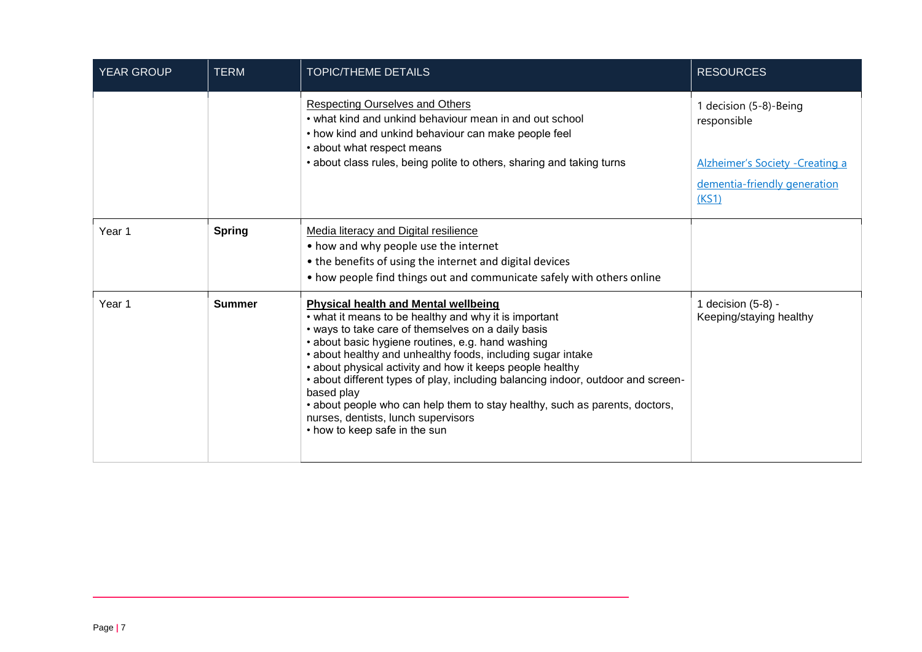| <b>YEAR GROUP</b> | <b>TERM</b>   | <b>TOPIC/THEME DETAILS</b>                                                                                                                                                                                                                                                                                                                                                                                                                                                                                                                                                                           | <b>RESOURCES</b>                                                                                                   |
|-------------------|---------------|------------------------------------------------------------------------------------------------------------------------------------------------------------------------------------------------------------------------------------------------------------------------------------------------------------------------------------------------------------------------------------------------------------------------------------------------------------------------------------------------------------------------------------------------------------------------------------------------------|--------------------------------------------------------------------------------------------------------------------|
|                   |               | <b>Respecting Ourselves and Others</b><br>• what kind and unkind behaviour mean in and out school<br>• how kind and unkind behaviour can make people feel<br>• about what respect means<br>• about class rules, being polite to others, sharing and taking turns                                                                                                                                                                                                                                                                                                                                     | 1 decision (5-8)-Being<br>responsible<br>Alzheimer's Society - Creating a<br>dementia-friendly generation<br>(KS1) |
| Year 1            | <b>Spring</b> | Media literacy and Digital resilience<br>• how and why people use the internet<br>• the benefits of using the internet and digital devices<br>• how people find things out and communicate safely with others online                                                                                                                                                                                                                                                                                                                                                                                 |                                                                                                                    |
| Year 1            | <b>Summer</b> | <b>Physical health and Mental wellbeing</b><br>• what it means to be healthy and why it is important<br>• ways to take care of themselves on a daily basis<br>• about basic hygiene routines, e.g. hand washing<br>• about healthy and unhealthy foods, including sugar intake<br>• about physical activity and how it keeps people healthy<br>• about different types of play, including balancing indoor, outdoor and screen-<br>based play<br>• about people who can help them to stay healthy, such as parents, doctors,<br>nurses, dentists, lunch supervisors<br>• how to keep safe in the sun | 1 decision (5-8) -<br>Keeping/staying healthy                                                                      |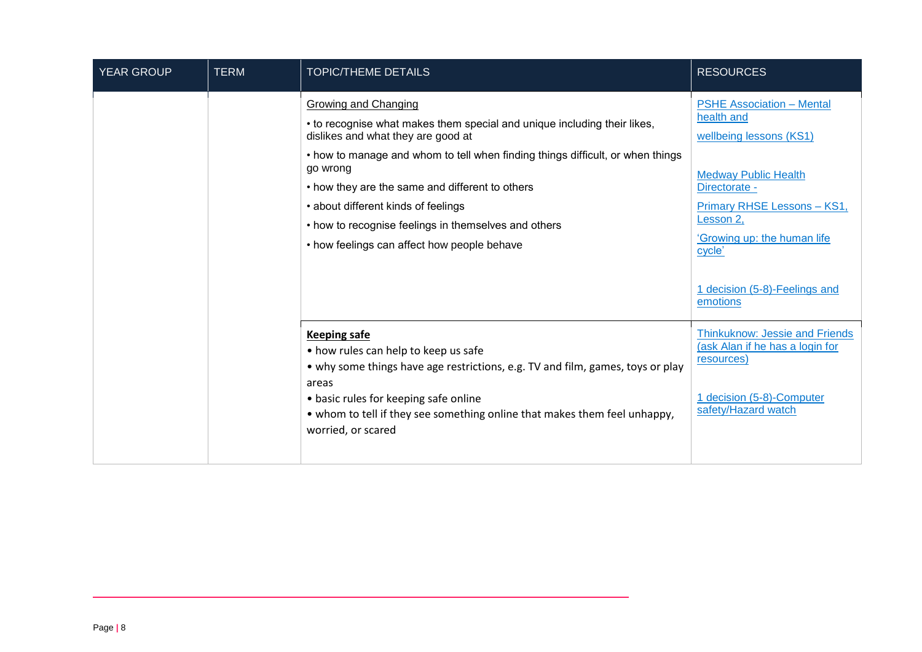| <b>YEAR GROUP</b> | <b>TERM</b> | <b>TOPIC/THEME DETAILS</b>                                                                                                                                                                                                                                                                                                                                                                                                                   | <b>RESOURCES</b>                                                                                                                                                                                                                                                   |
|-------------------|-------------|----------------------------------------------------------------------------------------------------------------------------------------------------------------------------------------------------------------------------------------------------------------------------------------------------------------------------------------------------------------------------------------------------------------------------------------------|--------------------------------------------------------------------------------------------------------------------------------------------------------------------------------------------------------------------------------------------------------------------|
|                   |             | <b>Growing and Changing</b><br>• to recognise what makes them special and unique including their likes,<br>dislikes and what they are good at<br>• how to manage and whom to tell when finding things difficult, or when things<br>go wrong<br>• how they are the same and different to others<br>• about different kinds of feelings<br>• how to recognise feelings in themselves and others<br>• how feelings can affect how people behave | <b>PSHE Association - Mental</b><br>health and<br>wellbeing lessons (KS1)<br><b>Medway Public Health</b><br>Directorate -<br><b>Primary RHSE Lessons - KS1,</b><br>Lesson 2,<br>'Growing up: the human life<br>cycle'<br>1 decision (5-8)-Feelings and<br>emotions |
|                   |             | <b>Keeping safe</b><br>• how rules can help to keep us safe<br>• why some things have age restrictions, e.g. TV and film, games, toys or play<br>areas<br>• basic rules for keeping safe online<br>• whom to tell if they see something online that makes them feel unhappy,<br>worried, or scared                                                                                                                                           | <b>Thinkuknow: Jessie and Friends</b><br>(ask Alan if he has a login for<br>resources)<br>1 decision (5-8)-Computer<br>safety/Hazard watch                                                                                                                         |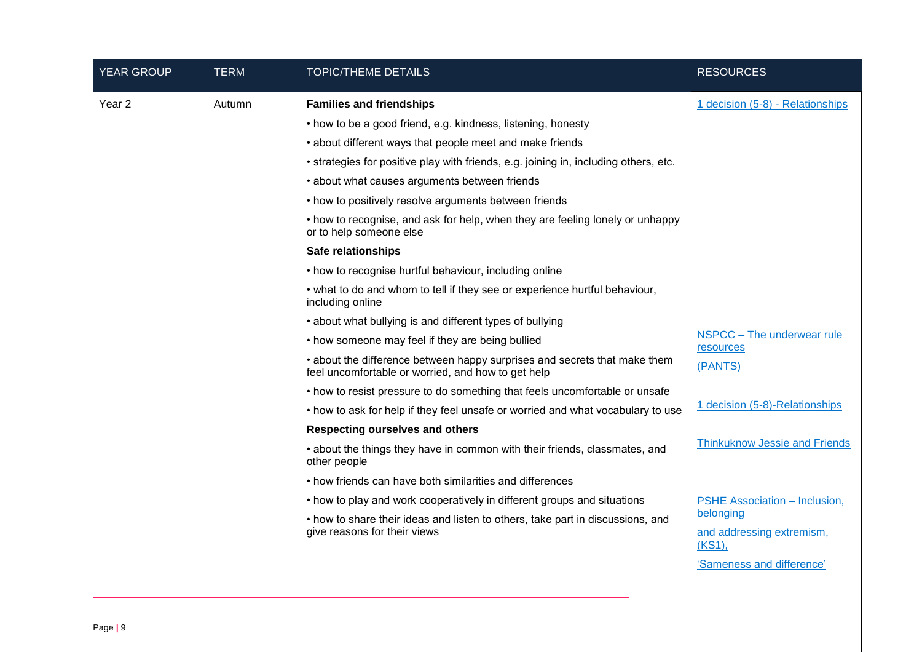| <b>YEAR GROUP</b> | <b>TERM</b>                                                                                    | <b>TOPIC/THEME DETAILS</b>                                                                                                      | <b>RESOURCES</b>                                 |
|-------------------|------------------------------------------------------------------------------------------------|---------------------------------------------------------------------------------------------------------------------------------|--------------------------------------------------|
| Year <sub>2</sub> | Autumn                                                                                         | <b>Families and friendships</b>                                                                                                 | 1 decision (5-8) - Relationships                 |
|                   |                                                                                                | • how to be a good friend, e.g. kindness, listening, honesty                                                                    |                                                  |
|                   |                                                                                                | • about different ways that people meet and make friends                                                                        |                                                  |
|                   |                                                                                                | • strategies for positive play with friends, e.g. joining in, including others, etc.                                            |                                                  |
|                   |                                                                                                | • about what causes arguments between friends                                                                                   |                                                  |
|                   |                                                                                                | • how to positively resolve arguments between friends                                                                           |                                                  |
|                   |                                                                                                | • how to recognise, and ask for help, when they are feeling lonely or unhappy<br>or to help someone else                        |                                                  |
|                   |                                                                                                | <b>Safe relationships</b>                                                                                                       |                                                  |
|                   |                                                                                                | • how to recognise hurtful behaviour, including online                                                                          |                                                  |
|                   | • what to do and whom to tell if they see or experience hurtful behaviour,<br>including online |                                                                                                                                 |                                                  |
|                   |                                                                                                | • about what bullying is and different types of bullying                                                                        |                                                  |
|                   |                                                                                                | • how someone may feel if they are being bullied                                                                                | NSPCC - The underwear rule<br>resources          |
|                   |                                                                                                | • about the difference between happy surprises and secrets that make them<br>feel uncomfortable or worried, and how to get help | (PANTS)                                          |
|                   |                                                                                                | • how to resist pressure to do something that feels uncomfortable or unsafe                                                     |                                                  |
|                   |                                                                                                | • how to ask for help if they feel unsafe or worried and what vocabulary to use                                                 | 1 decision (5-8)-Relationships                   |
|                   |                                                                                                | <b>Respecting ourselves and others</b>                                                                                          |                                                  |
|                   |                                                                                                | • about the things they have in common with their friends, classmates, and<br>other people                                      | <b>Thinkuknow Jessie and Friends</b>             |
|                   |                                                                                                | • how friends can have both similarities and differences                                                                        |                                                  |
|                   |                                                                                                | • how to play and work cooperatively in different groups and situations                                                         | <b>PSHE Association - Inclusion,</b>             |
|                   |                                                                                                | • how to share their ideas and listen to others, take part in discussions, and<br>give reasons for their views                  | belonging<br>and addressing extremism,<br>(KS1), |
|                   |                                                                                                |                                                                                                                                 | 'Sameness and difference'                        |
|                   |                                                                                                |                                                                                                                                 |                                                  |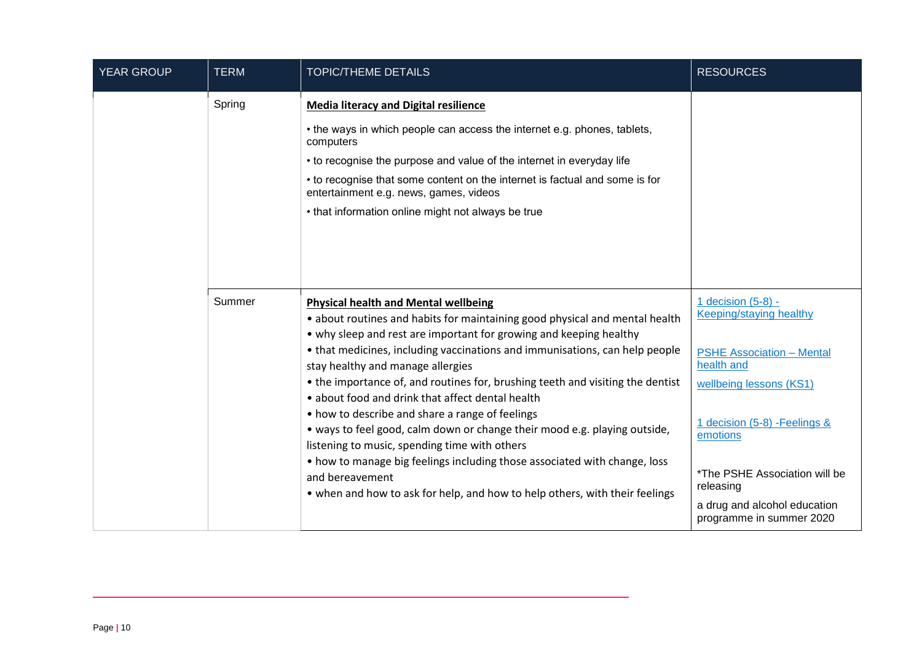| <b>YEAR GROUP</b> | <b>TERM</b> | <b>TOPIC/THEME DETAILS</b>                                                                                                                                                                                                                                                                                                                                                                                                                                                                                                                                                                                                                                                                                                                                                                                                 | <b>RESOURCES</b>                                                                                                                                                                                                                                                                  |
|-------------------|-------------|----------------------------------------------------------------------------------------------------------------------------------------------------------------------------------------------------------------------------------------------------------------------------------------------------------------------------------------------------------------------------------------------------------------------------------------------------------------------------------------------------------------------------------------------------------------------------------------------------------------------------------------------------------------------------------------------------------------------------------------------------------------------------------------------------------------------------|-----------------------------------------------------------------------------------------------------------------------------------------------------------------------------------------------------------------------------------------------------------------------------------|
|                   | Spring      | <b>Media literacy and Digital resilience</b><br>• the ways in which people can access the internet e.g. phones, tablets,<br>computers<br>• to recognise the purpose and value of the internet in everyday life<br>• to recognise that some content on the internet is factual and some is for<br>entertainment e.g. news, games, videos<br>• that information online might not always be true                                                                                                                                                                                                                                                                                                                                                                                                                              |                                                                                                                                                                                                                                                                                   |
|                   | Summer      | <b>Physical health and Mental wellbeing</b><br>• about routines and habits for maintaining good physical and mental health<br>• why sleep and rest are important for growing and keeping healthy<br>• that medicines, including vaccinations and immunisations, can help people<br>stay healthy and manage allergies<br>• the importance of, and routines for, brushing teeth and visiting the dentist<br>• about food and drink that affect dental health<br>• how to describe and share a range of feelings<br>• ways to feel good, calm down or change their mood e.g. playing outside,<br>listening to music, spending time with others<br>• how to manage big feelings including those associated with change, loss<br>and bereavement<br>• when and how to ask for help, and how to help others, with their feelings | 1 decision (5-8) -<br>Keeping/staying healthy<br><b>PSHE Association - Mental</b><br>health and<br>wellbeing lessons (KS1)<br>1 decision (5-8) - Feelings &<br>emotions<br>*The PSHE Association will be<br>releasing<br>a drug and alcohol education<br>programme in summer 2020 |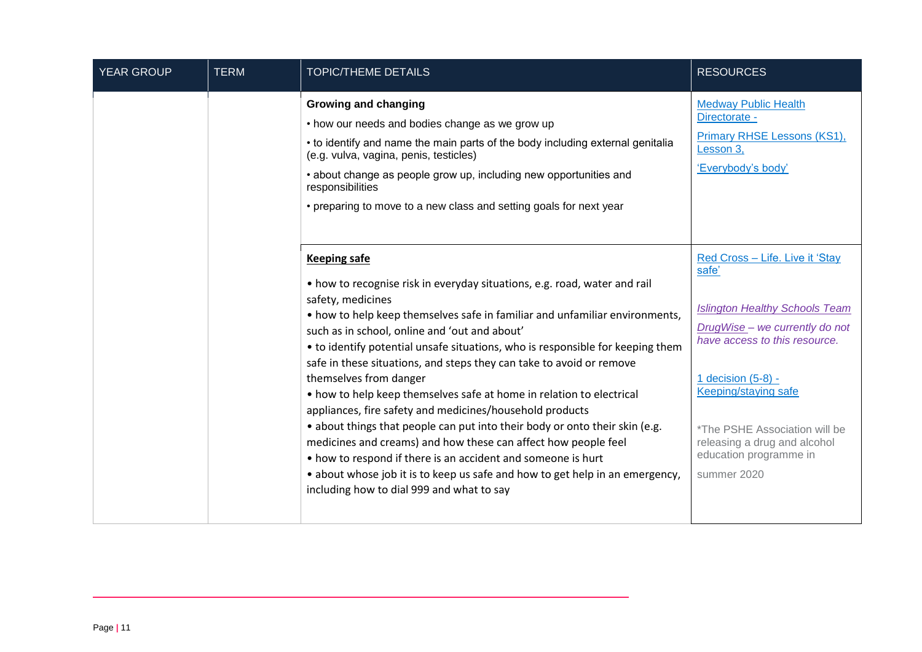| YEAR GROUP | <b>TERM</b> | <b>TOPIC/THEME DETAILS</b>                                                                                                                                                                                                                                                                                                                                                                                                                                                                                                                                                                                                                                                                                                                                                                                                                                                                                                  | <b>RESOURCES</b>                                                                                                                                                                                                                                                                                                    |
|------------|-------------|-----------------------------------------------------------------------------------------------------------------------------------------------------------------------------------------------------------------------------------------------------------------------------------------------------------------------------------------------------------------------------------------------------------------------------------------------------------------------------------------------------------------------------------------------------------------------------------------------------------------------------------------------------------------------------------------------------------------------------------------------------------------------------------------------------------------------------------------------------------------------------------------------------------------------------|---------------------------------------------------------------------------------------------------------------------------------------------------------------------------------------------------------------------------------------------------------------------------------------------------------------------|
|            |             | <b>Growing and changing</b><br>• how our needs and bodies change as we grow up<br>• to identify and name the main parts of the body including external genitalia<br>(e.g. vulva, vagina, penis, testicles)<br>• about change as people grow up, including new opportunities and<br>responsibilities<br>• preparing to move to a new class and setting goals for next year                                                                                                                                                                                                                                                                                                                                                                                                                                                                                                                                                   | <b>Medway Public Health</b><br>Directorate -<br>Primary RHSE Lessons (KS1),<br>Lesson 3,<br>'Everybody's body'                                                                                                                                                                                                      |
|            |             | <b>Keeping safe</b><br>• how to recognise risk in everyday situations, e.g. road, water and rail<br>safety, medicines<br>• how to help keep themselves safe in familiar and unfamiliar environments,<br>such as in school, online and 'out and about'<br>• to identify potential unsafe situations, who is responsible for keeping them<br>safe in these situations, and steps they can take to avoid or remove<br>themselves from danger<br>• how to help keep themselves safe at home in relation to electrical<br>appliances, fire safety and medicines/household products<br>• about things that people can put into their body or onto their skin (e.g.<br>medicines and creams) and how these can affect how people feel<br>• how to respond if there is an accident and someone is hurt<br>• about whose job it is to keep us safe and how to get help in an emergency,<br>including how to dial 999 and what to say | Red Cross - Life. Live it 'Stay<br>safe'<br><b>Islington Healthy Schools Team</b><br>DrugWise - we currently do not<br>have access to this resource.<br>1 decision (5-8) -<br><b>Keeping/staying safe</b><br>*The PSHE Association will be<br>releasing a drug and alcohol<br>education programme in<br>summer 2020 |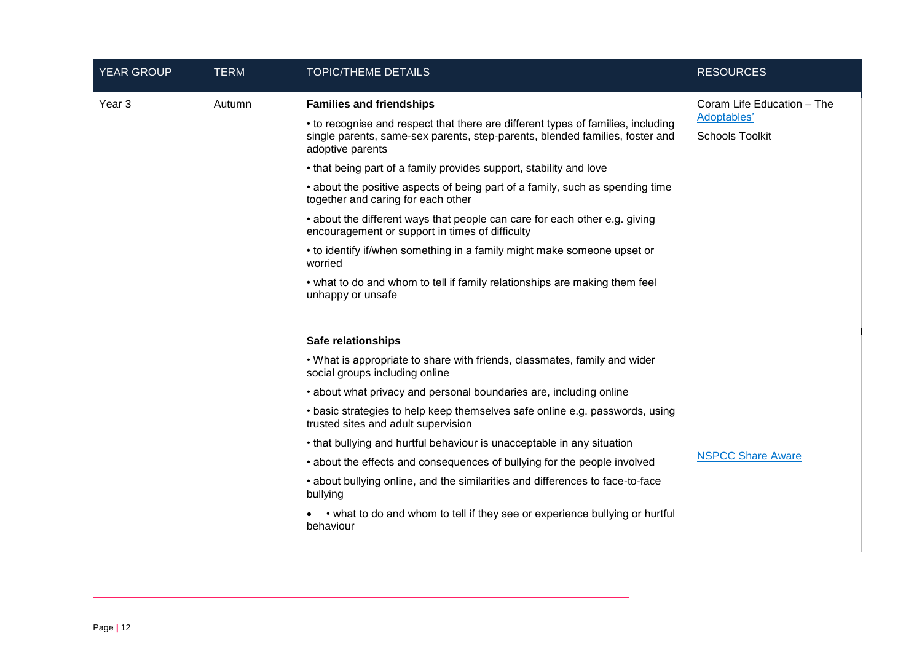| <b>YEAR GROUP</b> | <b>TERM</b> | <b>TOPIC/THEME DETAILS</b>                                                                                                                                                                                                                                                                                                                                                                                                                                                                                                                                                                                                                                                                                                                     | <b>RESOURCES</b>                                                    |
|-------------------|-------------|------------------------------------------------------------------------------------------------------------------------------------------------------------------------------------------------------------------------------------------------------------------------------------------------------------------------------------------------------------------------------------------------------------------------------------------------------------------------------------------------------------------------------------------------------------------------------------------------------------------------------------------------------------------------------------------------------------------------------------------------|---------------------------------------------------------------------|
| Year 3            | Autumn      | <b>Families and friendships</b><br>• to recognise and respect that there are different types of families, including<br>single parents, same-sex parents, step-parents, blended families, foster and<br>adoptive parents<br>• that being part of a family provides support, stability and love<br>• about the positive aspects of being part of a family, such as spending time<br>together and caring for each other<br>• about the different ways that people can care for each other e.g. giving<br>encouragement or support in times of difficulty<br>• to identify if/when something in a family might make someone upset or<br>worried<br>• what to do and whom to tell if family relationships are making them feel<br>unhappy or unsafe | Coram Life Education - The<br>Adoptables'<br><b>Schools Toolkit</b> |
|                   |             | <b>Safe relationships</b><br>. What is appropriate to share with friends, classmates, family and wider<br>social groups including online<br>• about what privacy and personal boundaries are, including online<br>• basic strategies to help keep themselves safe online e.g. passwords, using<br>trusted sites and adult supervision<br>• that bullying and hurtful behaviour is unacceptable in any situation<br>• about the effects and consequences of bullying for the people involved<br>• about bullying online, and the similarities and differences to face-to-face<br>bullying<br>• what to do and whom to tell if they see or experience bullying or hurtful<br>behaviour                                                           | <b>NSPCC Share Aware</b>                                            |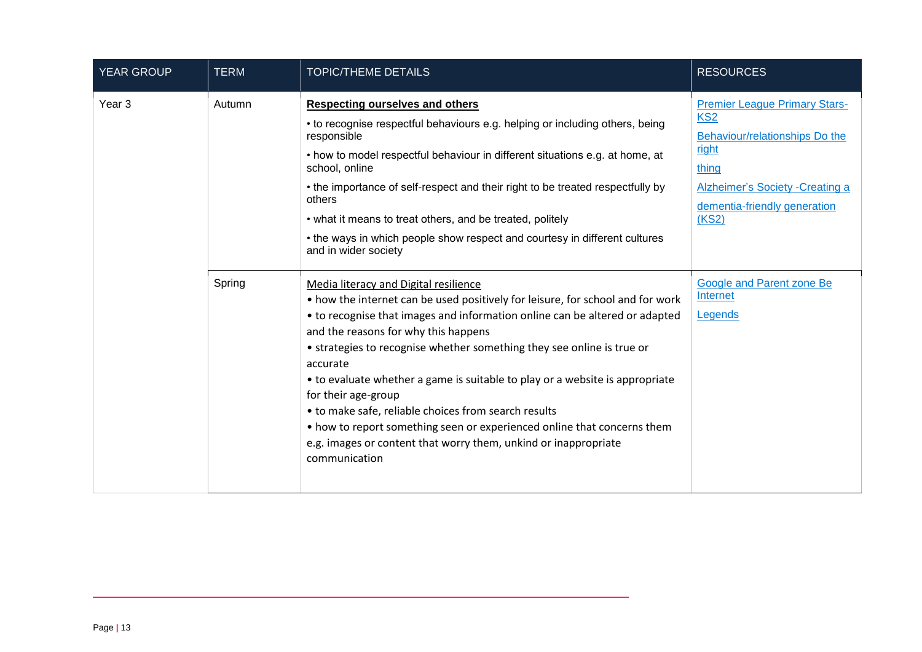| <b>YEAR GROUP</b> | <b>TERM</b> | <b>TOPIC/THEME DETAILS</b>                                                                                                                                                                                                                                                                                                                                                                                                                                                                                                                                                                                                                                         | <b>RESOURCES</b>                                                                                                                                                                         |
|-------------------|-------------|--------------------------------------------------------------------------------------------------------------------------------------------------------------------------------------------------------------------------------------------------------------------------------------------------------------------------------------------------------------------------------------------------------------------------------------------------------------------------------------------------------------------------------------------------------------------------------------------------------------------------------------------------------------------|------------------------------------------------------------------------------------------------------------------------------------------------------------------------------------------|
| Year <sub>3</sub> | Autumn      | <b>Respecting ourselves and others</b><br>• to recognise respectful behaviours e.g. helping or including others, being<br>responsible<br>• how to model respectful behaviour in different situations e.g. at home, at<br>school, online<br>• the importance of self-respect and their right to be treated respectfully by<br>others<br>• what it means to treat others, and be treated, politely<br>• the ways in which people show respect and courtesy in different cultures<br>and in wider society                                                                                                                                                             | <b>Premier League Primary Stars-</b><br>KS <sub>2</sub><br>Behaviour/relationships Do the<br>right<br>thing<br>Alzheimer's Society - Creating a<br>dementia-friendly generation<br>(KS2) |
|                   | Spring      | Media literacy and Digital resilience<br>• how the internet can be used positively for leisure, for school and for work<br>• to recognise that images and information online can be altered or adapted<br>and the reasons for why this happens<br>• strategies to recognise whether something they see online is true or<br>accurate<br>• to evaluate whether a game is suitable to play or a website is appropriate<br>for their age-group<br>• to make safe, reliable choices from search results<br>• how to report something seen or experienced online that concerns them<br>e.g. images or content that worry them, unkind or inappropriate<br>communication | Google and Parent zone Be<br>Internet<br>Legends                                                                                                                                         |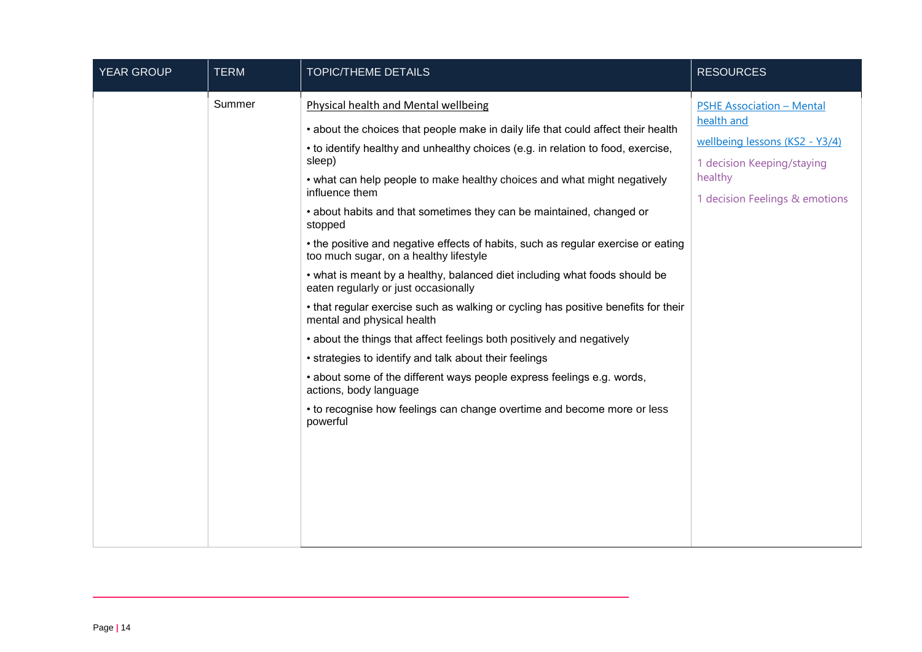| Summer<br>Physical health and Mental wellbeing<br><b>PSHE Association - Mental</b><br>health and<br>• about the choices that people make in daily life that could affect their health<br>wellbeing lessons (KS2 - Y3/4)<br>• to identify healthy and unhealthy choices (e.g. in relation to food, exercise,<br>sleep)<br>1 decision Keeping/staying<br>healthy<br>• what can help people to make healthy choices and what might negatively<br>influence them<br>1 decision Feelings & emotions<br>• about habits and that sometimes they can be maintained, changed or | stopped<br>• the positive and negative effects of habits, such as regular exercise or eating<br>too much sugar, on a healthy lifestyle<br>• what is meant by a healthy, balanced diet including what foods should be<br>eaten regularly or just occasionally<br>• that regular exercise such as walking or cycling has positive benefits for their<br>mental and physical health<br>• about the things that affect feelings both positively and negatively<br>• strategies to identify and talk about their feelings<br>• about some of the different ways people express feelings e.g. words,<br>actions, body language<br>• to recognise how feelings can change overtime and become more or less<br>powerful |
|------------------------------------------------------------------------------------------------------------------------------------------------------------------------------------------------------------------------------------------------------------------------------------------------------------------------------------------------------------------------------------------------------------------------------------------------------------------------------------------------------------------------------------------------------------------------|-----------------------------------------------------------------------------------------------------------------------------------------------------------------------------------------------------------------------------------------------------------------------------------------------------------------------------------------------------------------------------------------------------------------------------------------------------------------------------------------------------------------------------------------------------------------------------------------------------------------------------------------------------------------------------------------------------------------|
|                                                                                                                                                                                                                                                                                                                                                                                                                                                                                                                                                                        |                                                                                                                                                                                                                                                                                                                                                                                                                                                                                                                                                                                                                                                                                                                 |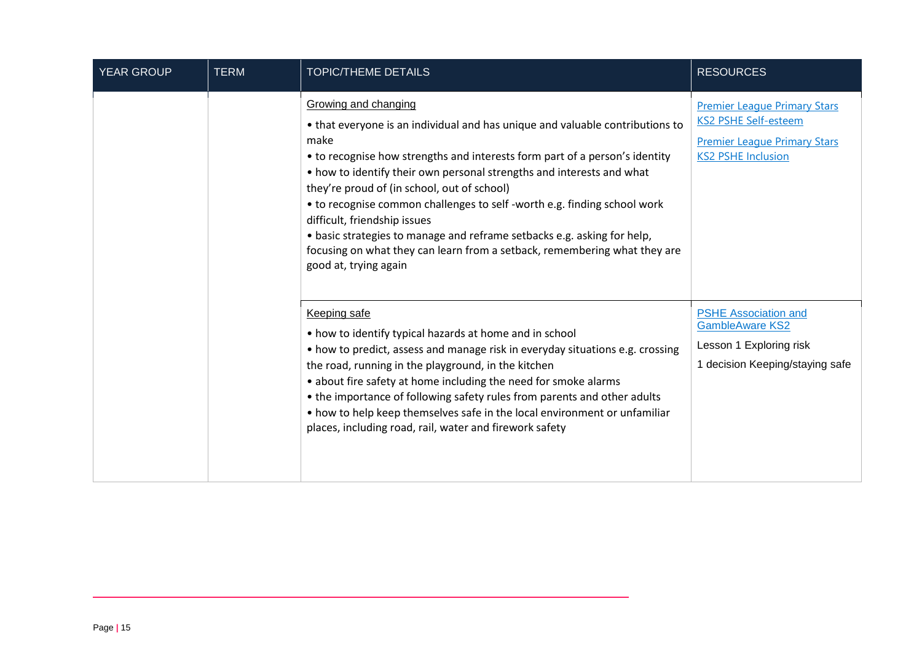| <b>YEAR GROUP</b> | <b>TERM</b> | <b>TOPIC/THEME DETAILS</b>                                                                                                                                                                                                                                                                                                                                                                                                                                                                                                                                                                                        | <b>RESOURCES</b>                                                                                                                       |
|-------------------|-------------|-------------------------------------------------------------------------------------------------------------------------------------------------------------------------------------------------------------------------------------------------------------------------------------------------------------------------------------------------------------------------------------------------------------------------------------------------------------------------------------------------------------------------------------------------------------------------------------------------------------------|----------------------------------------------------------------------------------------------------------------------------------------|
|                   |             | Growing and changing<br>• that everyone is an individual and has unique and valuable contributions to<br>make<br>• to recognise how strengths and interests form part of a person's identity<br>• how to identify their own personal strengths and interests and what<br>they're proud of (in school, out of school)<br>• to recognise common challenges to self -worth e.g. finding school work<br>difficult, friendship issues<br>• basic strategies to manage and reframe setbacks e.g. asking for help,<br>focusing on what they can learn from a setback, remembering what they are<br>good at, trying again | <b>Premier League Primary Stars</b><br><b>KS2 PSHE Self-esteem</b><br><b>Premier League Primary Stars</b><br><b>KS2 PSHE Inclusion</b> |
|                   |             | Keeping safe<br>• how to identify typical hazards at home and in school<br>• how to predict, assess and manage risk in everyday situations e.g. crossing<br>the road, running in the playground, in the kitchen<br>• about fire safety at home including the need for smoke alarms<br>• the importance of following safety rules from parents and other adults<br>• how to help keep themselves safe in the local environment or unfamiliar<br>places, including road, rail, water and firework safety                                                                                                            | <b>PSHE Association and</b><br><b>GambleAware KS2</b><br>Lesson 1 Exploring risk<br>1 decision Keeping/staying safe                    |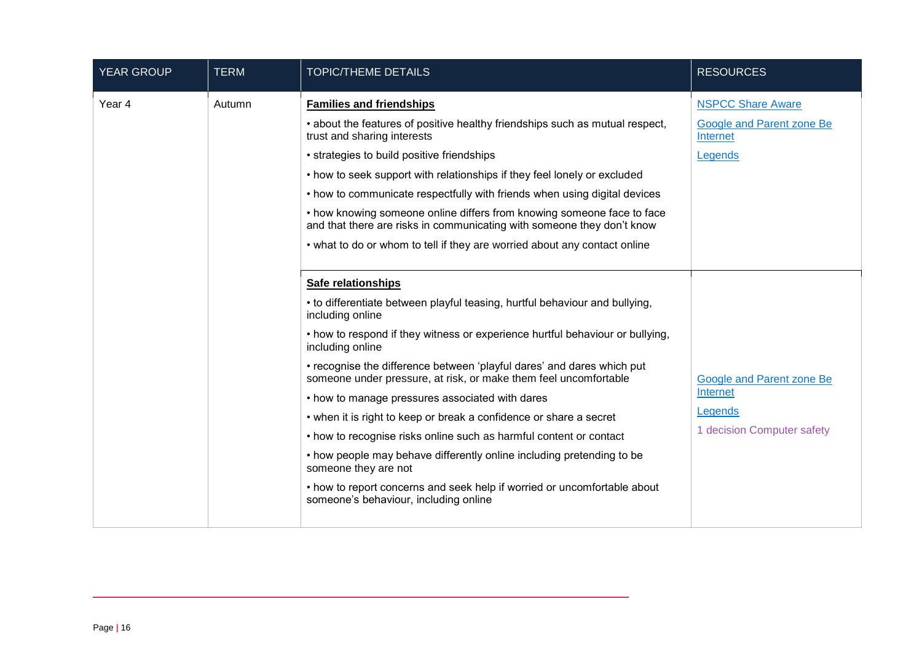| <b>YEAR GROUP</b> | <b>TERM</b> | <b>TOPIC/THEME DETAILS</b>                                                                                                                                                                                                                                                                                                                                                                                                                                                                                                                                                                                                                                                                                                                                                                           | <b>RESOURCES</b>                                                                      |
|-------------------|-------------|------------------------------------------------------------------------------------------------------------------------------------------------------------------------------------------------------------------------------------------------------------------------------------------------------------------------------------------------------------------------------------------------------------------------------------------------------------------------------------------------------------------------------------------------------------------------------------------------------------------------------------------------------------------------------------------------------------------------------------------------------------------------------------------------------|---------------------------------------------------------------------------------------|
| Year 4            | Autumn      | <b>Families and friendships</b><br>• about the features of positive healthy friendships such as mutual respect,<br>trust and sharing interests<br>• strategies to build positive friendships<br>• how to seek support with relationships if they feel lonely or excluded<br>• how to communicate respectfully with friends when using digital devices<br>• how knowing someone online differs from knowing someone face to face<br>and that there are risks in communicating with someone they don't know<br>• what to do or whom to tell if they are worried about any contact online                                                                                                                                                                                                               | <b>NSPCC Share Aware</b><br><b>Google and Parent zone Be</b><br>Internet<br>Legends   |
|                   |             | <b>Safe relationships</b><br>• to differentiate between playful teasing, hurtful behaviour and bullying,<br>including online<br>• how to respond if they witness or experience hurtful behaviour or bullying,<br>including online<br>• recognise the difference between 'playful dares' and dares which put<br>someone under pressure, at risk, or make them feel uncomfortable<br>• how to manage pressures associated with dares<br>• when it is right to keep or break a confidence or share a secret<br>• how to recognise risks online such as harmful content or contact<br>• how people may behave differently online including pretending to be<br>someone they are not<br>• how to report concerns and seek help if worried or uncomfortable about<br>someone's behaviour, including online | <b>Google and Parent zone Be</b><br>Internet<br>Legends<br>1 decision Computer safety |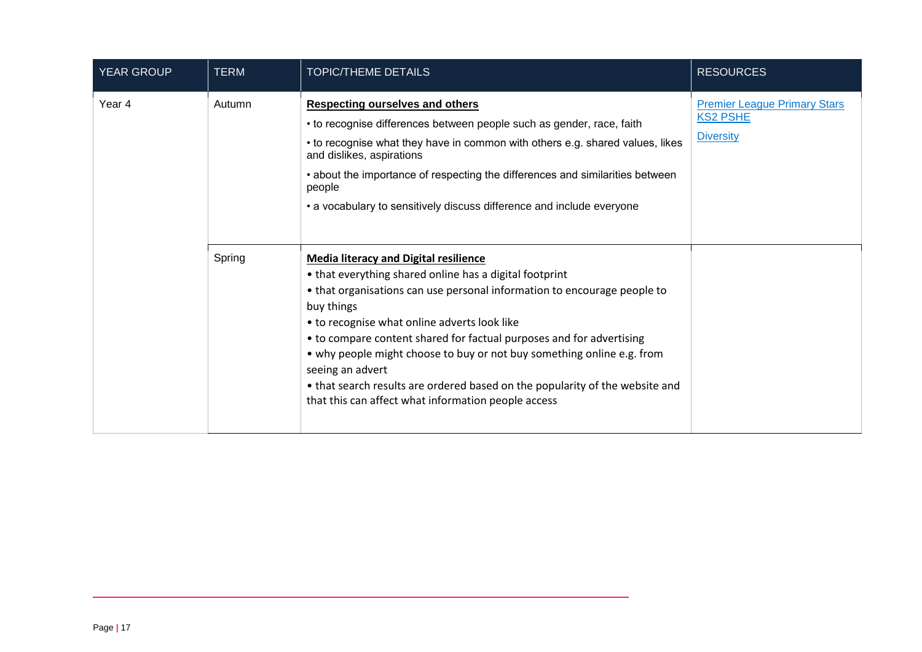| <b>YEAR GROUP</b> | <b>TERM</b> | <b>TOPIC/THEME DETAILS</b>                                                                                                                                                                                                                                                                                                                                                                                                                                                                                                                                     | <b>RESOURCES</b>                                                           |
|-------------------|-------------|----------------------------------------------------------------------------------------------------------------------------------------------------------------------------------------------------------------------------------------------------------------------------------------------------------------------------------------------------------------------------------------------------------------------------------------------------------------------------------------------------------------------------------------------------------------|----------------------------------------------------------------------------|
| Year 4            | Autumn      | <b>Respecting ourselves and others</b><br>• to recognise differences between people such as gender, race, faith<br>• to recognise what they have in common with others e.g. shared values, likes<br>and dislikes, aspirations<br>• about the importance of respecting the differences and similarities between<br>people<br>• a vocabulary to sensitively discuss difference and include everyone                                                                                                                                                              | <b>Premier League Primary Stars</b><br><b>KS2 PSHE</b><br><b>Diversity</b> |
|                   | Spring      | <b>Media literacy and Digital resilience</b><br>• that everything shared online has a digital footprint<br>• that organisations can use personal information to encourage people to<br>buy things<br>• to recognise what online adverts look like<br>• to compare content shared for factual purposes and for advertising<br>• why people might choose to buy or not buy something online e.g. from<br>seeing an advert<br>• that search results are ordered based on the popularity of the website and<br>that this can affect what information people access |                                                                            |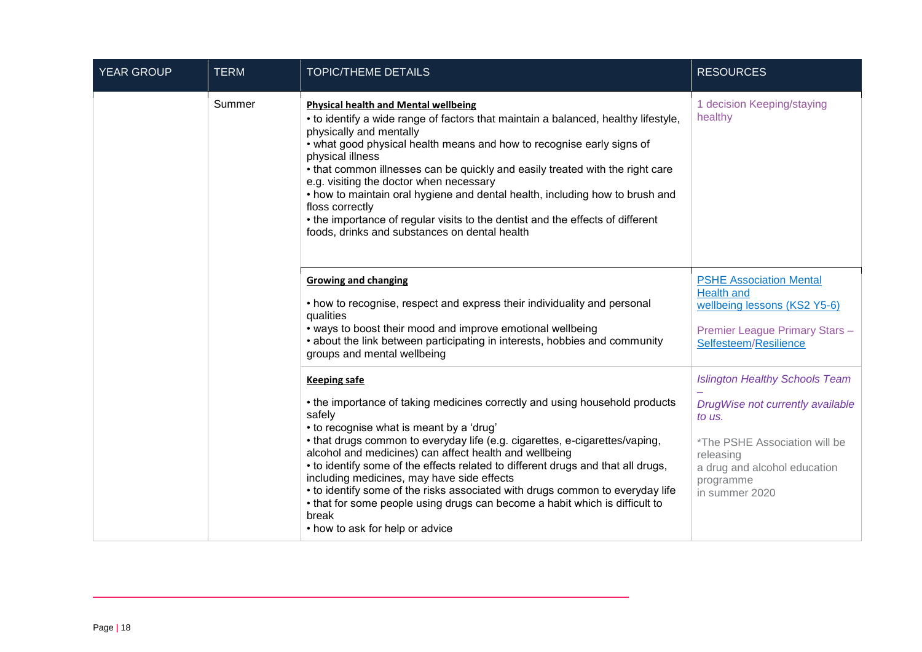| <b>YEAR GROUP</b> | <b>TERM</b> | <b>TOPIC/THEME DETAILS</b>                                                                                                                                                                                                                                                                                                                                                                                                                                                                                                                                                                                                                      | <b>RESOURCES</b>                                                                                                                                                                                 |
|-------------------|-------------|-------------------------------------------------------------------------------------------------------------------------------------------------------------------------------------------------------------------------------------------------------------------------------------------------------------------------------------------------------------------------------------------------------------------------------------------------------------------------------------------------------------------------------------------------------------------------------------------------------------------------------------------------|--------------------------------------------------------------------------------------------------------------------------------------------------------------------------------------------------|
|                   | Summer      | <b>Physical health and Mental wellbeing</b><br>• to identify a wide range of factors that maintain a balanced, healthy lifestyle,<br>physically and mentally<br>• what good physical health means and how to recognise early signs of<br>physical illness<br>. that common illnesses can be quickly and easily treated with the right care<br>e.g. visiting the doctor when necessary<br>• how to maintain oral hygiene and dental health, including how to brush and<br>floss correctly<br>• the importance of regular visits to the dentist and the effects of different<br>foods, drinks and substances on dental health                     | 1 decision Keeping/staying<br>healthy                                                                                                                                                            |
|                   |             | <b>Growing and changing</b><br>• how to recognise, respect and express their individuality and personal<br>qualities<br>• ways to boost their mood and improve emotional wellbeing<br>• about the link between participating in interests, hobbies and community<br>groups and mental wellbeing                                                                                                                                                                                                                                                                                                                                                 | <b>PSHE Association Mental</b><br><b>Health and</b><br>wellbeing lessons (KS2 Y5-6)<br>Premier League Primary Stars-<br>Selfesteem/Resilience                                                    |
|                   |             | <b>Keeping safe</b><br>• the importance of taking medicines correctly and using household products<br>safely<br>• to recognise what is meant by a 'drug'<br>• that drugs common to everyday life (e.g. cigarettes, e-cigarettes/vaping,<br>alcohol and medicines) can affect health and wellbeing<br>• to identify some of the effects related to different drugs and that all drugs,<br>including medicines, may have side effects<br>• to identify some of the risks associated with drugs common to everyday life<br>• that for some people using drugs can become a habit which is difficult to<br>break<br>• how to ask for help or advice | <b>Islington Healthy Schools Team</b><br>DrugWise not currently available<br>to us.<br>*The PSHE Association will be<br>releasing<br>a drug and alcohol education<br>programme<br>in summer 2020 |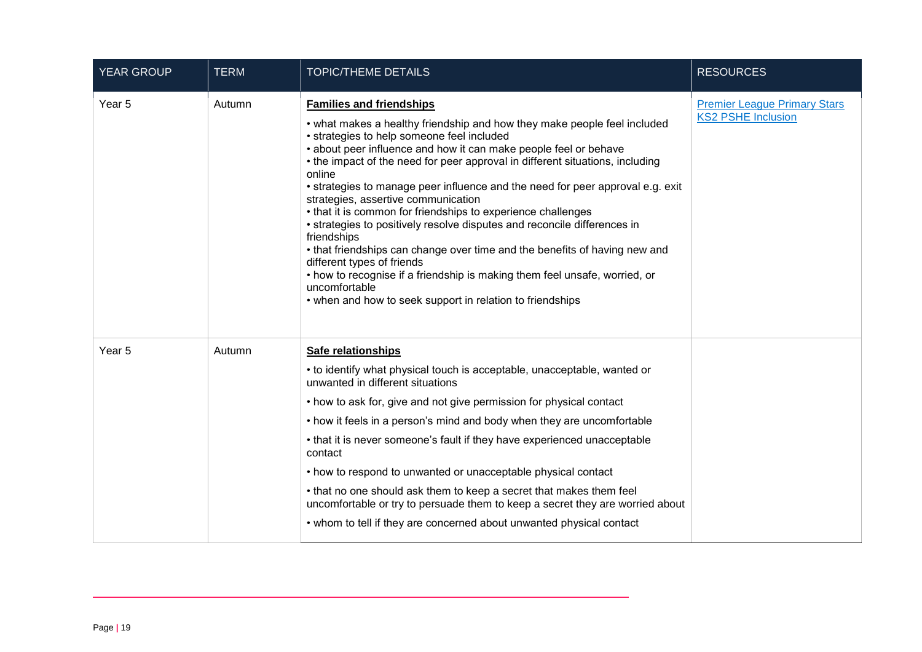| <b>YEAR GROUP</b> | <b>TERM</b> | <b>TOPIC/THEME DETAILS</b>                                                                                                                                                                                                                                                                                                                                                                                                                                                                                                                                                                                                                                                                                                                                                                                                                                                           | <b>RESOURCES</b>                                                 |
|-------------------|-------------|--------------------------------------------------------------------------------------------------------------------------------------------------------------------------------------------------------------------------------------------------------------------------------------------------------------------------------------------------------------------------------------------------------------------------------------------------------------------------------------------------------------------------------------------------------------------------------------------------------------------------------------------------------------------------------------------------------------------------------------------------------------------------------------------------------------------------------------------------------------------------------------|------------------------------------------------------------------|
| Year 5            | Autumn      | <b>Families and friendships</b><br>• what makes a healthy friendship and how they make people feel included<br>• strategies to help someone feel included<br>• about peer influence and how it can make people feel or behave<br>• the impact of the need for peer approval in different situations, including<br>online<br>• strategies to manage peer influence and the need for peer approval e.g. exit<br>strategies, assertive communication<br>• that it is common for friendships to experience challenges<br>• strategies to positively resolve disputes and reconcile differences in<br>friendships<br>• that friendships can change over time and the benefits of having new and<br>different types of friends<br>• how to recognise if a friendship is making them feel unsafe, worried, or<br>uncomfortable<br>• when and how to seek support in relation to friendships | <b>Premier League Primary Stars</b><br><b>KS2 PSHE Inclusion</b> |
| Year 5            | Autumn      | Safe relationships<br>• to identify what physical touch is acceptable, unacceptable, wanted or<br>unwanted in different situations<br>• how to ask for, give and not give permission for physical contact<br>• how it feels in a person's mind and body when they are uncomfortable<br>• that it is never someone's fault if they have experienced unacceptable<br>contact<br>• how to respond to unwanted or unacceptable physical contact<br>• that no one should ask them to keep a secret that makes them feel<br>uncomfortable or try to persuade them to keep a secret they are worried about<br>• whom to tell if they are concerned about unwanted physical contact                                                                                                                                                                                                          |                                                                  |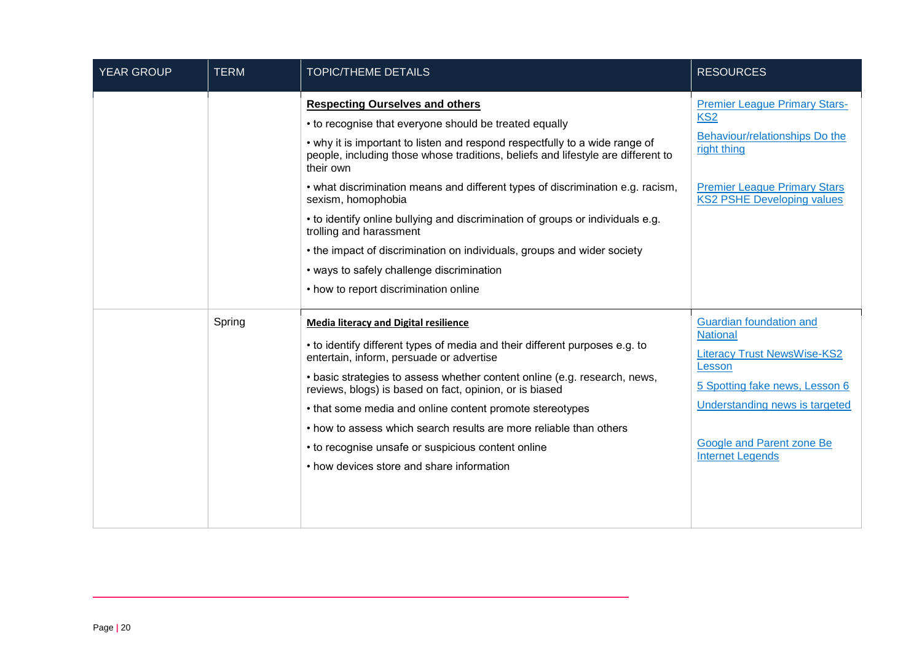| <b>YEAR GROUP</b> | <b>TERM</b> | <b>TOPIC/THEME DETAILS</b>                                                                                                                                                                                                                                                                                                                                                                                                                                                                                                                                                                                                                                             | <b>RESOURCES</b>                                                                                                                                                                                                       |
|-------------------|-------------|------------------------------------------------------------------------------------------------------------------------------------------------------------------------------------------------------------------------------------------------------------------------------------------------------------------------------------------------------------------------------------------------------------------------------------------------------------------------------------------------------------------------------------------------------------------------------------------------------------------------------------------------------------------------|------------------------------------------------------------------------------------------------------------------------------------------------------------------------------------------------------------------------|
|                   |             | <b>Respecting Ourselves and others</b><br>• to recognise that everyone should be treated equally<br>• why it is important to listen and respond respectfully to a wide range of<br>people, including those whose traditions, beliefs and lifestyle are different to<br>their own<br>• what discrimination means and different types of discrimination e.g. racism,<br>sexism, homophobia<br>• to identify online bullying and discrimination of groups or individuals e.g.<br>trolling and harassment<br>• the impact of discrimination on individuals, groups and wider society<br>• ways to safely challenge discrimination<br>• how to report discrimination online | <b>Premier League Primary Stars-</b><br>KS <sub>2</sub><br>Behaviour/relationships Do the<br>right thing<br><b>Premier League Primary Stars</b><br><b>KS2 PSHE Developing values</b>                                   |
|                   | Spring      | <b>Media literacy and Digital resilience</b><br>• to identify different types of media and their different purposes e.g. to<br>entertain, inform, persuade or advertise<br>. basic strategies to assess whether content online (e.g. research, news,<br>reviews, blogs) is based on fact, opinion, or is biased<br>• that some media and online content promote stereotypes<br>• how to assess which search results are more reliable than others<br>• to recognise unsafe or suspicious content online<br>• how devices store and share information                                                                                                                   | Guardian foundation and<br><b>National</b><br><b>Literacy Trust NewsWise-KS2</b><br>Lesson<br>5 Spotting fake news, Lesson 6<br>Understanding news is targeted<br>Google and Parent zone Be<br><b>Internet Legends</b> |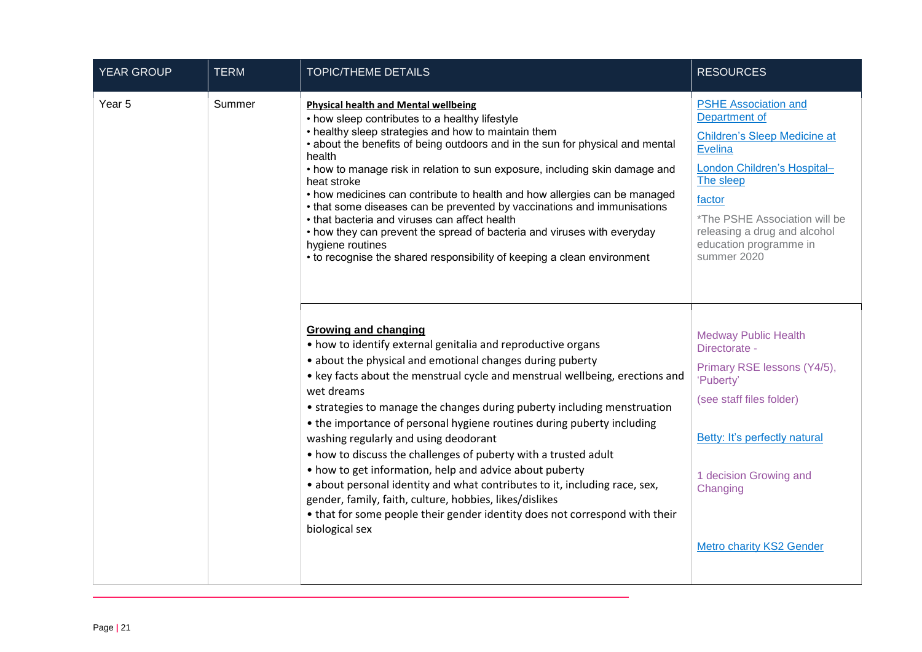| YEAR GROUP | <b>TERM</b> | <b>TOPIC/THEME DETAILS</b>                                                                                                                                                                                                                                                                                                                                                                                                                                                                                                                                                                                                                                                                                                                                                                                                    | <b>RESOURCES</b>                                                                                                                                                                                                                                                                                                                                                                                                                                                                                                                                                                                                                                                                                                                 |                                                                                                                                                                                                                                                                |
|------------|-------------|-------------------------------------------------------------------------------------------------------------------------------------------------------------------------------------------------------------------------------------------------------------------------------------------------------------------------------------------------------------------------------------------------------------------------------------------------------------------------------------------------------------------------------------------------------------------------------------------------------------------------------------------------------------------------------------------------------------------------------------------------------------------------------------------------------------------------------|----------------------------------------------------------------------------------------------------------------------------------------------------------------------------------------------------------------------------------------------------------------------------------------------------------------------------------------------------------------------------------------------------------------------------------------------------------------------------------------------------------------------------------------------------------------------------------------------------------------------------------------------------------------------------------------------------------------------------------|----------------------------------------------------------------------------------------------------------------------------------------------------------------------------------------------------------------------------------------------------------------|
| Year 5     | Summer      |                                                                                                                                                                                                                                                                                                                                                                                                                                                                                                                                                                                                                                                                                                                                                                                                                               | <b>Physical health and Mental wellbeing</b><br>• how sleep contributes to a healthy lifestyle<br>• healthy sleep strategies and how to maintain them<br>• about the benefits of being outdoors and in the sun for physical and mental<br>health<br>• how to manage risk in relation to sun exposure, including skin damage and<br>heat stroke<br>• how medicines can contribute to health and how allergies can be managed<br>• that some diseases can be prevented by vaccinations and immunisations<br>• that bacteria and viruses can affect health<br>• how they can prevent the spread of bacteria and viruses with everyday<br>hygiene routines<br>• to recognise the shared responsibility of keeping a clean environment | <b>PSHE Association and</b><br>Department of<br>Children's Sleep Medicine at<br><b>Evelina</b><br>London Children's Hospital-<br>The sleep<br>factor<br>*The PSHE Association will be<br>releasing a drug and alcohol<br>education programme in<br>summer 2020 |
|            |             | <b>Growing and changing</b><br>• how to identify external genitalia and reproductive organs<br>• about the physical and emotional changes during puberty<br>• key facts about the menstrual cycle and menstrual wellbeing, erections and<br>wet dreams<br>• strategies to manage the changes during puberty including menstruation<br>• the importance of personal hygiene routines during puberty including<br>washing regularly and using deodorant<br>• how to discuss the challenges of puberty with a trusted adult<br>• how to get information, help and advice about puberty<br>• about personal identity and what contributes to it, including race, sex,<br>gender, family, faith, culture, hobbies, likes/dislikes<br>• that for some people their gender identity does not correspond with their<br>biological sex | <b>Medway Public Health</b><br>Directorate -<br>Primary RSE lessons (Y4/5),<br>'Puberty'<br>(see staff files folder)<br>Betty: It's perfectly natural<br>1 decision Growing and<br>Changing<br><b>Metro charity KS2 Gender</b>                                                                                                                                                                                                                                                                                                                                                                                                                                                                                                   |                                                                                                                                                                                                                                                                |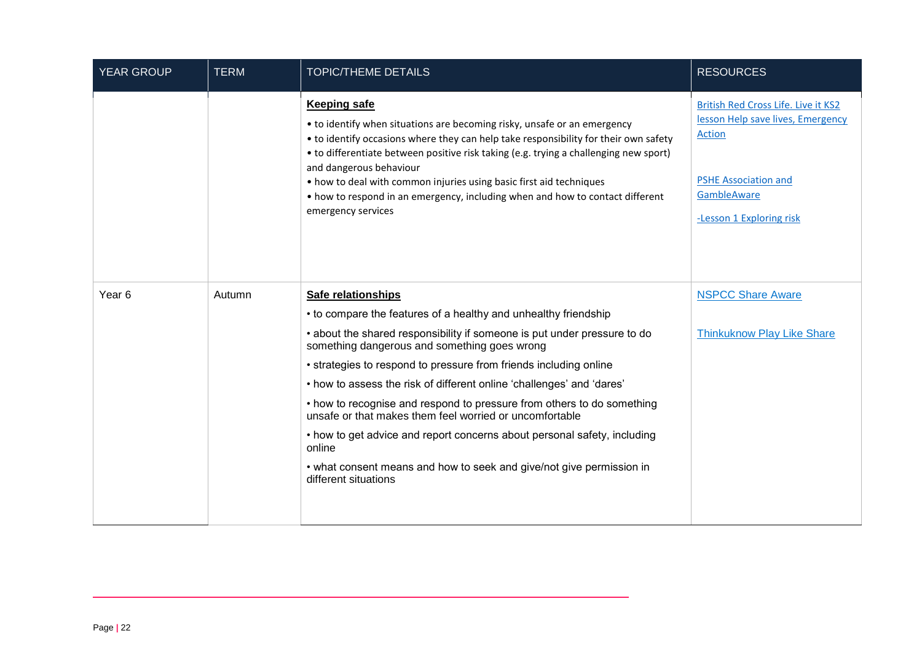| <b>YEAR GROUP</b> | <b>TERM</b> | <b>TOPIC/THEME DETAILS</b>                                                                                                                                                                                                                                                                                                                                                                                                                                                                | <b>RESOURCES</b>                                                                                                                                             |
|-------------------|-------------|-------------------------------------------------------------------------------------------------------------------------------------------------------------------------------------------------------------------------------------------------------------------------------------------------------------------------------------------------------------------------------------------------------------------------------------------------------------------------------------------|--------------------------------------------------------------------------------------------------------------------------------------------------------------|
|                   |             | <b>Keeping safe</b><br>• to identify when situations are becoming risky, unsafe or an emergency<br>• to identify occasions where they can help take responsibility for their own safety<br>• to differentiate between positive risk taking (e.g. trying a challenging new sport)<br>and dangerous behaviour<br>• how to deal with common injuries using basic first aid techniques<br>• how to respond in an emergency, including when and how to contact different<br>emergency services | British Red Cross Life. Live it KS2<br>lesson Help save lives, Emergency<br>Action<br><b>PSHE Association and</b><br>GambleAware<br>-Lesson 1 Exploring risk |
| Year <sub>6</sub> | Autumn      | Safe relationships<br>• to compare the features of a healthy and unhealthy friendship                                                                                                                                                                                                                                                                                                                                                                                                     | <b>NSPCC Share Aware</b>                                                                                                                                     |
|                   |             | • about the shared responsibility if someone is put under pressure to do<br>something dangerous and something goes wrong                                                                                                                                                                                                                                                                                                                                                                  | <b>Thinkuknow Play Like Share</b>                                                                                                                            |
|                   |             | • strategies to respond to pressure from friends including online                                                                                                                                                                                                                                                                                                                                                                                                                         |                                                                                                                                                              |
|                   |             | • how to assess the risk of different online 'challenges' and 'dares'                                                                                                                                                                                                                                                                                                                                                                                                                     |                                                                                                                                                              |
|                   |             | • how to recognise and respond to pressure from others to do something<br>unsafe or that makes them feel worried or uncomfortable                                                                                                                                                                                                                                                                                                                                                         |                                                                                                                                                              |
|                   |             | • how to get advice and report concerns about personal safety, including<br>online                                                                                                                                                                                                                                                                                                                                                                                                        |                                                                                                                                                              |
|                   |             | • what consent means and how to seek and give/not give permission in<br>different situations                                                                                                                                                                                                                                                                                                                                                                                              |                                                                                                                                                              |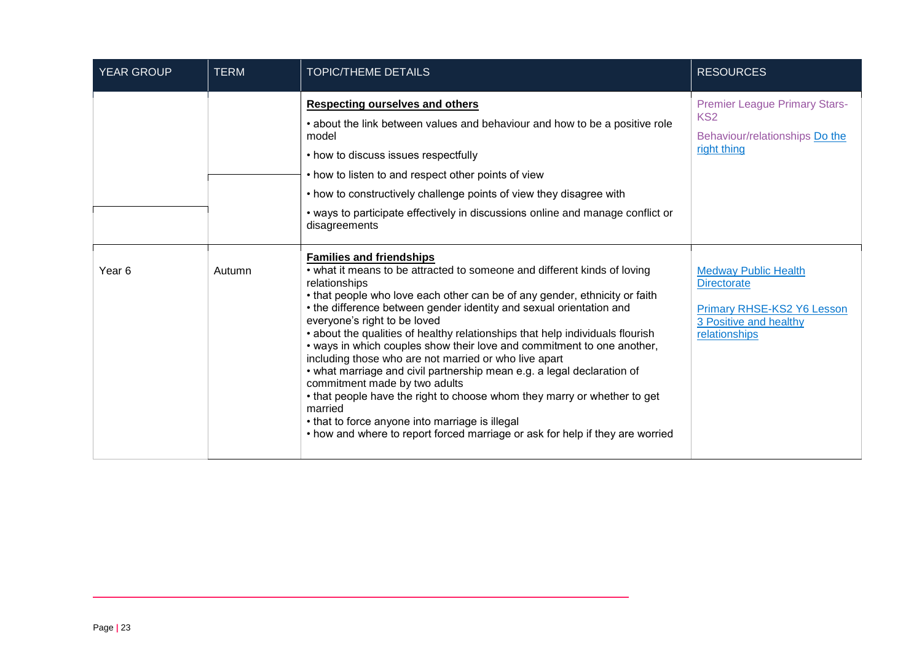| <b>YEAR GROUP</b> | <b>TERM</b> | <b>TOPIC/THEME DETAILS</b>                                                                                                                                                                                                                                                                                                                                                                                                                                                                                                                                                                                                                                                                                                                                                                                                                                                  | <b>RESOURCES</b>                                                                                                           |
|-------------------|-------------|-----------------------------------------------------------------------------------------------------------------------------------------------------------------------------------------------------------------------------------------------------------------------------------------------------------------------------------------------------------------------------------------------------------------------------------------------------------------------------------------------------------------------------------------------------------------------------------------------------------------------------------------------------------------------------------------------------------------------------------------------------------------------------------------------------------------------------------------------------------------------------|----------------------------------------------------------------------------------------------------------------------------|
|                   |             | <b>Respecting ourselves and others</b><br>• about the link between values and behaviour and how to be a positive role<br>model<br>• how to discuss issues respectfully<br>• how to listen to and respect other points of view<br>• how to constructively challenge points of view they disagree with<br>• ways to participate effectively in discussions online and manage conflict or<br>disagreements                                                                                                                                                                                                                                                                                                                                                                                                                                                                     | <b>Premier League Primary Stars-</b><br>KS <sub>2</sub><br>Behaviour/relationships Do the<br>right thing                   |
| Year 6            | Autumn      | <b>Families and friendships</b><br>• what it means to be attracted to someone and different kinds of loving<br>relationships<br>• that people who love each other can be of any gender, ethnicity or faith<br>• the difference between gender identity and sexual orientation and<br>everyone's right to be loved<br>• about the qualities of healthy relationships that help individuals flourish<br>• ways in which couples show their love and commitment to one another,<br>including those who are not married or who live apart<br>• what marriage and civil partnership mean e.g. a legal declaration of<br>commitment made by two adults<br>• that people have the right to choose whom they marry or whether to get<br>married<br>• that to force anyone into marriage is illegal<br>• how and where to report forced marriage or ask for help if they are worried | <b>Medway Public Health</b><br><b>Directorate</b><br>Primary RHSE-KS2 Y6 Lesson<br>3 Positive and healthy<br>relationships |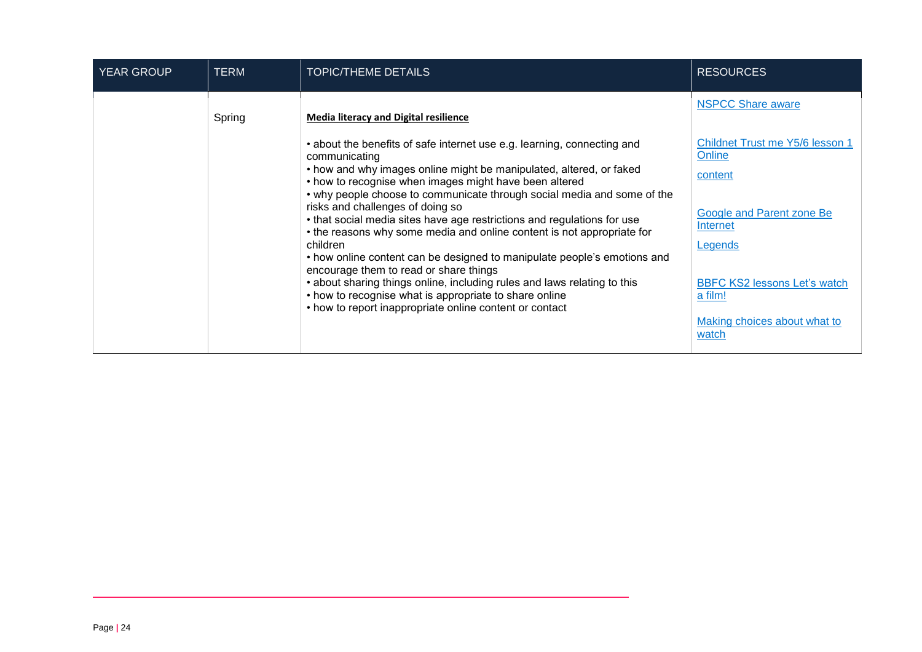| <b>YEAR GROUP</b> | <b>TERM</b> | <b>TOPIC/THEME DETAILS</b>                                                                                                                                                                                                                                                                                                                                                                                                                                                                                                                                                                                                                                                                                                                                  | <b>RESOURCES</b>                                                                                                                                                            |
|-------------------|-------------|-------------------------------------------------------------------------------------------------------------------------------------------------------------------------------------------------------------------------------------------------------------------------------------------------------------------------------------------------------------------------------------------------------------------------------------------------------------------------------------------------------------------------------------------------------------------------------------------------------------------------------------------------------------------------------------------------------------------------------------------------------------|-----------------------------------------------------------------------------------------------------------------------------------------------------------------------------|
|                   | Spring      | <b>Media literacy and Digital resilience</b><br>• about the benefits of safe internet use e.g. learning, connecting and<br>communicating<br>• how and why images online might be manipulated, altered, or faked<br>• how to recognise when images might have been altered<br>• why people choose to communicate through social media and some of the<br>risks and challenges of doing so<br>• that social media sites have age restrictions and regulations for use<br>• the reasons why some media and online content is not appropriate for<br>children<br>• how online content can be designed to manipulate people's emotions and<br>encourage them to read or share things<br>• about sharing things online, including rules and laws relating to this | <b>NSPCC Share aware</b><br>Childnet Trust me Y5/6 lesson 1<br>Online<br>content<br>Google and Parent zone Be<br>Internet<br>Legends<br><b>BBFC KS2 lessons Let's watch</b> |
|                   |             | • how to recognise what is appropriate to share online<br>• how to report inappropriate online content or contact                                                                                                                                                                                                                                                                                                                                                                                                                                                                                                                                                                                                                                           | a film!<br>Making choices about what to<br>watch                                                                                                                            |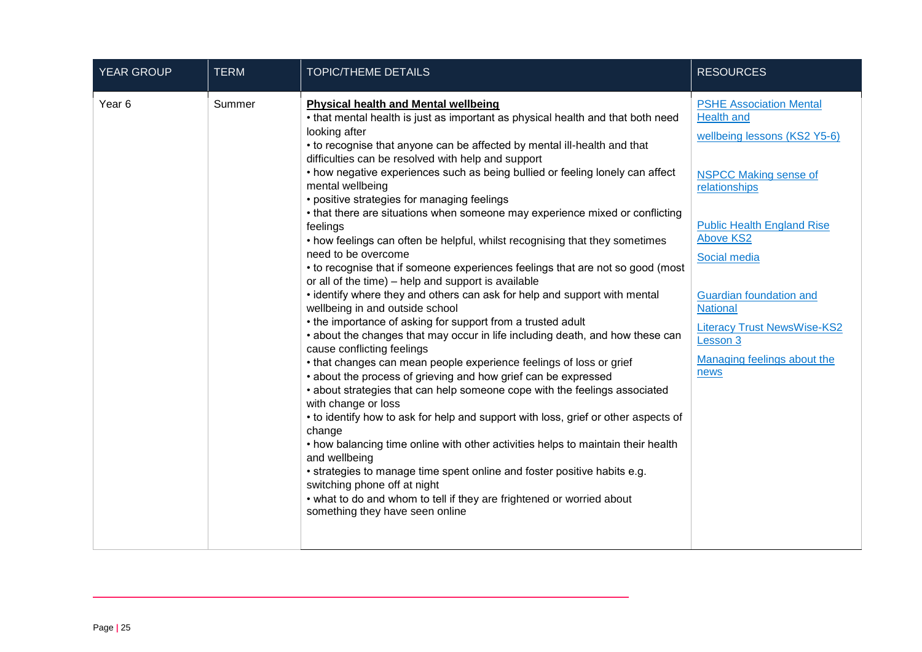| <b>YEAR GROUP</b> | <b>TERM</b> | <b>TOPIC/THEME DETAILS</b>                                                                                                                                                                                                                                                                                                                                                                                                                                                                                                                                                                                                                                                                                                                                                                                                                                                                                                                                                                                                                                                                                                                                                                                                                                                                                                                                                                                                                                                                                                                                                                                                                                                                                                                                | <b>RESOURCES</b>                                                                                                                                                                                                                                                                                                                                            |
|-------------------|-------------|-----------------------------------------------------------------------------------------------------------------------------------------------------------------------------------------------------------------------------------------------------------------------------------------------------------------------------------------------------------------------------------------------------------------------------------------------------------------------------------------------------------------------------------------------------------------------------------------------------------------------------------------------------------------------------------------------------------------------------------------------------------------------------------------------------------------------------------------------------------------------------------------------------------------------------------------------------------------------------------------------------------------------------------------------------------------------------------------------------------------------------------------------------------------------------------------------------------------------------------------------------------------------------------------------------------------------------------------------------------------------------------------------------------------------------------------------------------------------------------------------------------------------------------------------------------------------------------------------------------------------------------------------------------------------------------------------------------------------------------------------------------|-------------------------------------------------------------------------------------------------------------------------------------------------------------------------------------------------------------------------------------------------------------------------------------------------------------------------------------------------------------|
| Year <sub>6</sub> | Summer      | <b>Physical health and Mental wellbeing</b><br>• that mental health is just as important as physical health and that both need<br>looking after<br>• to recognise that anyone can be affected by mental ill-health and that<br>difficulties can be resolved with help and support<br>• how negative experiences such as being bullied or feeling lonely can affect<br>mental wellbeing<br>• positive strategies for managing feelings<br>• that there are situations when someone may experience mixed or conflicting<br>feelings<br>• how feelings can often be helpful, whilst recognising that they sometimes<br>need to be overcome<br>• to recognise that if someone experiences feelings that are not so good (most<br>or all of the time) - help and support is available<br>• identify where they and others can ask for help and support with mental<br>wellbeing in and outside school<br>• the importance of asking for support from a trusted adult<br>• about the changes that may occur in life including death, and how these can<br>cause conflicting feelings<br>• that changes can mean people experience feelings of loss or grief<br>• about the process of grieving and how grief can be expressed<br>• about strategies that can help someone cope with the feelings associated<br>with change or loss<br>• to identify how to ask for help and support with loss, grief or other aspects of<br>change<br>• how balancing time online with other activities helps to maintain their health<br>and wellbeing<br>• strategies to manage time spent online and foster positive habits e.g.<br>switching phone off at night<br>• what to do and whom to tell if they are frightened or worried about<br>something they have seen online | <b>PSHE Association Mental</b><br><b>Health and</b><br>wellbeing lessons (KS2 Y5-6)<br><b>NSPCC Making sense of</b><br>relationships<br><b>Public Health England Rise</b><br><b>Above KS2</b><br>Social media<br><b>Guardian foundation and</b><br><b>National</b><br><b>Literacy Trust NewsWise-KS2</b><br>Lesson 3<br>Managing feelings about the<br>news |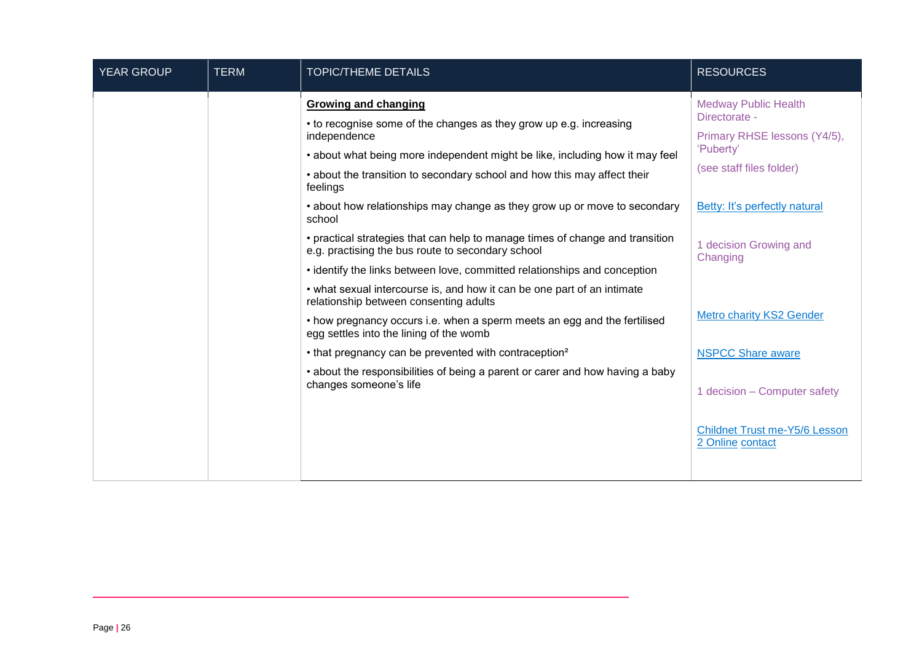| <b>YEAR GROUP</b> | <b>TERM</b> | <b>TOPIC/THEME DETAILS</b>                                                                                                         | <b>RESOURCES</b>                                         |
|-------------------|-------------|------------------------------------------------------------------------------------------------------------------------------------|----------------------------------------------------------|
|                   |             | <b>Growing and changing</b>                                                                                                        | <b>Medway Public Health</b>                              |
|                   |             | • to recognise some of the changes as they grow up e.g. increasing<br>independence                                                 | Directorate -<br>Primary RHSE lessons (Y4/5),            |
|                   |             | • about what being more independent might be like, including how it may feel                                                       | 'Puberty'                                                |
|                   |             | • about the transition to secondary school and how this may affect their<br>feelings                                               | (see staff files folder)                                 |
|                   |             | • about how relationships may change as they grow up or move to secondary<br>school                                                | Betty: It's perfectly natural                            |
|                   |             | • practical strategies that can help to manage times of change and transition<br>e.g. practising the bus route to secondary school | 1 decision Growing and<br>Changing                       |
|                   |             | • identify the links between love, committed relationships and conception                                                          |                                                          |
|                   |             | • what sexual intercourse is, and how it can be one part of an intimate<br>relationship between consenting adults                  |                                                          |
|                   |             | • how pregnancy occurs i.e. when a sperm meets an egg and the fertilised<br>egg settles into the lining of the womb                | <b>Metro charity KS2 Gender</b>                          |
|                   |             | • that pregnancy can be prevented with contraception <sup>2</sup>                                                                  | <b>NSPCC Share aware</b>                                 |
|                   |             | • about the responsibilities of being a parent or carer and how having a baby<br>changes someone's life                            |                                                          |
|                   |             |                                                                                                                                    | 1 decision – Computer safety                             |
|                   |             |                                                                                                                                    | <b>Childnet Trust me-Y5/6 Lesson</b><br>2 Online contact |
|                   |             |                                                                                                                                    |                                                          |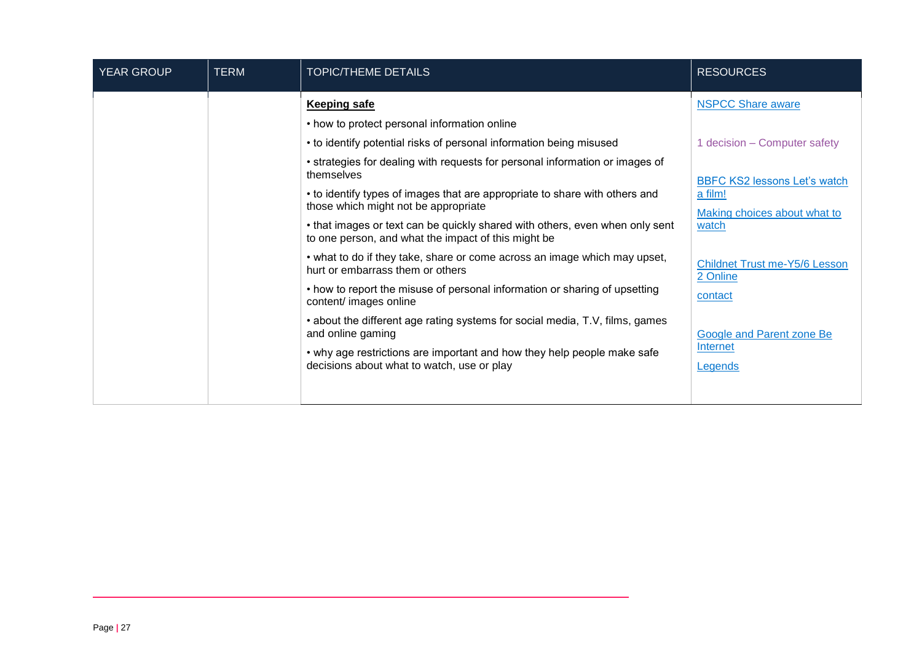| <b>YEAR GROUP</b> | <b>TERM</b> | <b>TOPIC/THEME DETAILS</b>                                                                                                                                                                                                                                                                                                                                                                                                                                                                                                                                                                                                                                                                                                                                                                                                           | <b>RESOURCES</b>                                                                                                                                                                                                                                                   |
|-------------------|-------------|--------------------------------------------------------------------------------------------------------------------------------------------------------------------------------------------------------------------------------------------------------------------------------------------------------------------------------------------------------------------------------------------------------------------------------------------------------------------------------------------------------------------------------------------------------------------------------------------------------------------------------------------------------------------------------------------------------------------------------------------------------------------------------------------------------------------------------------|--------------------------------------------------------------------------------------------------------------------------------------------------------------------------------------------------------------------------------------------------------------------|
|                   |             | <b>Keeping safe</b><br>• how to protect personal information online<br>• to identify potential risks of personal information being misused<br>• strategies for dealing with requests for personal information or images of<br>themselves<br>• to identify types of images that are appropriate to share with others and<br>those which might not be appropriate<br>• that images or text can be quickly shared with others, even when only sent<br>to one person, and what the impact of this might be<br>• what to do if they take, share or come across an image which may upset,<br>hurt or embarrass them or others<br>• how to report the misuse of personal information or sharing of upsetting<br>content/ images online<br>• about the different age rating systems for social media, T.V, films, games<br>and online gaming | <b>NSPCC Share aware</b><br>1 decision - Computer safety<br><b>BBFC KS2 lessons Let's watch</b><br>a film!<br>Making choices about what to<br>watch<br><b>Childnet Trust me-Y5/6 Lesson</b><br>2 Online<br>contact<br><b>Google and Parent zone Be</b><br>Internet |
|                   |             | • why age restrictions are important and how they help people make safe<br>decisions about what to watch, use or play                                                                                                                                                                                                                                                                                                                                                                                                                                                                                                                                                                                                                                                                                                                | Legends                                                                                                                                                                                                                                                            |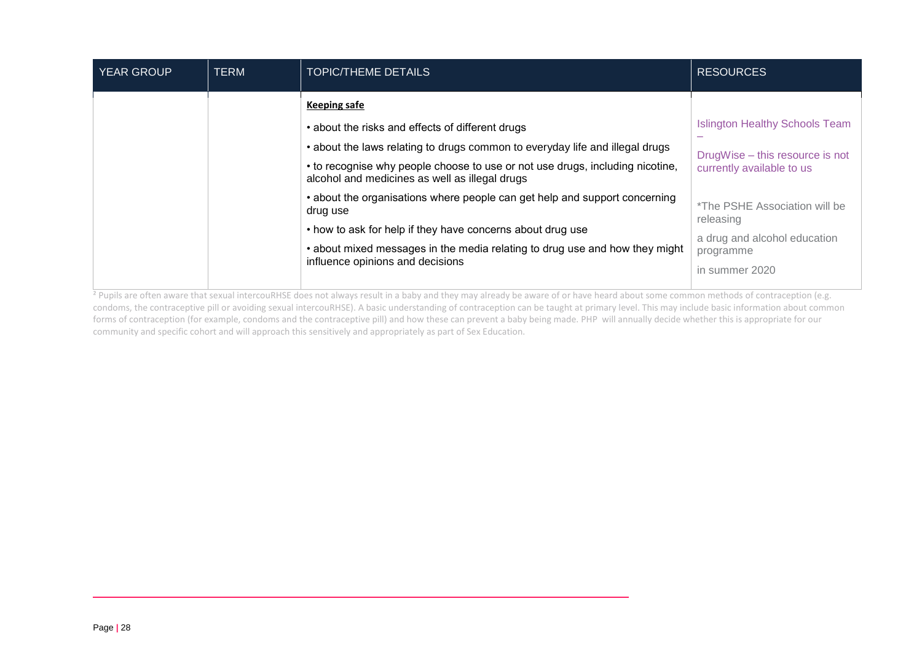| <b>YEAR GROUP</b> | <b>TERM</b> | <b>TOPIC/THEME DETAILS</b>                                                                                                                                                                                                                                                                 | <b>RESOURCES</b>                                                                                          |
|-------------------|-------------|--------------------------------------------------------------------------------------------------------------------------------------------------------------------------------------------------------------------------------------------------------------------------------------------|-----------------------------------------------------------------------------------------------------------|
|                   |             | <b>Keeping safe</b><br>• about the risks and effects of different drugs<br>• about the laws relating to drugs common to everyday life and illegal drugs<br>• to recognise why people choose to use or not use drugs, including nicotine,<br>alcohol and medicines as well as illegal drugs | <b>Islington Healthy Schools Team</b><br>DrugWise - this resource is not<br>currently available to us     |
|                   |             | • about the organisations where people can get help and support concerning<br>drug use<br>• how to ask for help if they have concerns about drug use<br>• about mixed messages in the media relating to drug use and how they might<br>influence opinions and decisions                    | *The PSHE Association will be<br>releasing<br>a drug and alcohol education<br>programme<br>in summer 2020 |

<sup>2</sup> Pupils are often aware that sexual intercouRHSE does not always result in a baby and they may already be aware of or have heard about some common methods of contraception (e.g. condoms, the contraceptive pill or avoiding sexual intercouRHSE). A basic understanding of contraception can be taught at primary level. This may include basic information about common forms of contraception (for example, condoms and the contraceptive pill) and how these can prevent a baby being made. PHP will annually decide whether this is appropriate for our community and specific cohort and will approach this sensitively and appropriately as part of Sex Education.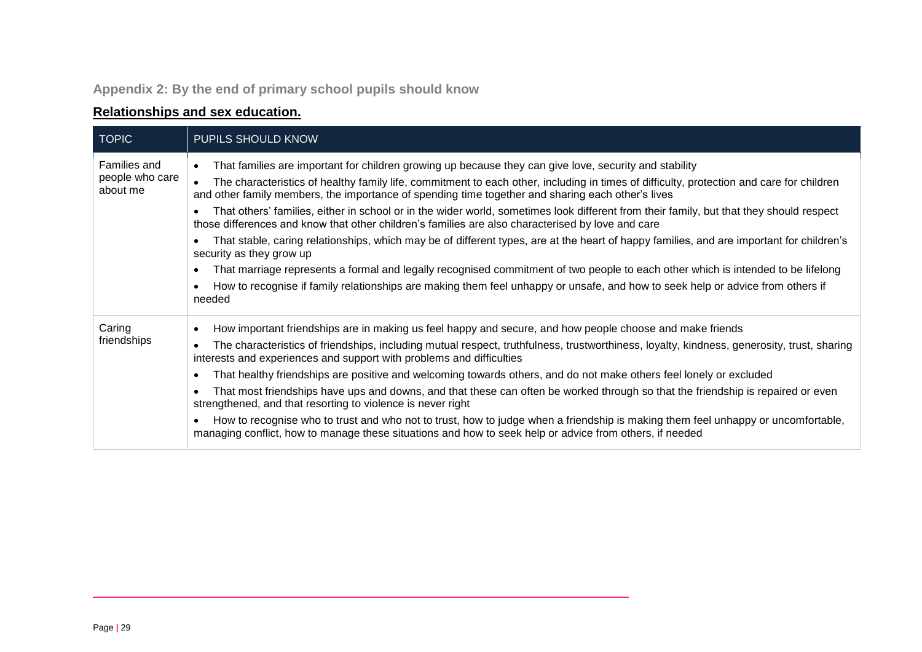## **Appendix 2: By the end of primary school pupils should know**

## **Relationships and sex education.**

<span id="page-28-0"></span>

| <b>TOPIC</b>                | PUPILS SHOULD KNOW                                                                                                                                                                                                                                         |
|-----------------------------|------------------------------------------------------------------------------------------------------------------------------------------------------------------------------------------------------------------------------------------------------------|
| Families and                | That families are important for children growing up because they can give love, security and stability<br>$\bullet$                                                                                                                                        |
| people who care<br>about me | The characteristics of healthy family life, commitment to each other, including in times of difficulty, protection and care for children<br>$\bullet$<br>and other family members, the importance of spending time together and sharing each other's lives |
|                             | That others' families, either in school or in the wider world, sometimes look different from their family, but that they should respect<br>those differences and know that other children's families are also characterised by love and care               |
|                             | That stable, caring relationships, which may be of different types, are at the heart of happy families, and are important for children's<br>security as they grow up                                                                                       |
|                             | That marriage represents a formal and legally recognised commitment of two people to each other which is intended to be lifelong<br>$\bullet$                                                                                                              |
|                             | How to recognise if family relationships are making them feel unhappy or unsafe, and how to seek help or advice from others if<br>needed                                                                                                                   |
| Caring<br>friendships       | How important friendships are in making us feel happy and secure, and how people choose and make friends                                                                                                                                                   |
|                             | The characteristics of friendships, including mutual respect, truthfulness, trustworthiness, loyalty, kindness, generosity, trust, sharing<br>interests and experiences and support with problems and difficulties                                         |
|                             | That healthy friendships are positive and welcoming towards others, and do not make others feel lonely or excluded                                                                                                                                         |
|                             | That most friendships have ups and downs, and that these can often be worked through so that the friendship is repaired or even<br>strengthened, and that resorting to violence is never right                                                             |
|                             | How to recognise who to trust and who not to trust, how to judge when a friendship is making them feel unhappy or uncomfortable,<br>managing conflict, how to manage these situations and how to seek help or advice from others, if needed                |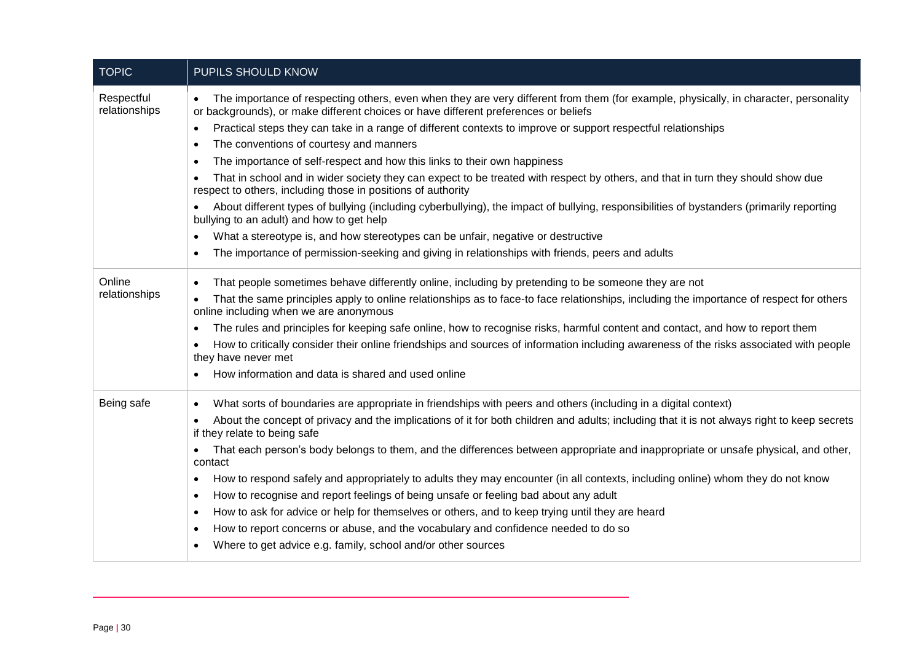| <b>TOPIC</b>                | PUPILS SHOULD KNOW                                                                                                                                                                                                                                                                                    |
|-----------------------------|-------------------------------------------------------------------------------------------------------------------------------------------------------------------------------------------------------------------------------------------------------------------------------------------------------|
| Respectful<br>relationships | The importance of respecting others, even when they are very different from them (for example, physically, in character, personality<br>$\bullet$<br>or backgrounds), or make different choices or have different preferences or beliefs                                                              |
|                             | Practical steps they can take in a range of different contexts to improve or support respectful relationships<br>$\bullet$                                                                                                                                                                            |
|                             | The conventions of courtesy and manners<br>$\bullet$                                                                                                                                                                                                                                                  |
|                             | The importance of self-respect and how this links to their own happiness<br>٠                                                                                                                                                                                                                         |
|                             | That in school and in wider society they can expect to be treated with respect by others, and that in turn they should show due<br>respect to others, including those in positions of authority                                                                                                       |
|                             | About different types of bullying (including cyberbullying), the impact of bullying, responsibilities of bystanders (primarily reporting<br>bullying to an adult) and how to get help                                                                                                                 |
|                             | What a stereotype is, and how stereotypes can be unfair, negative or destructive<br>٠                                                                                                                                                                                                                 |
|                             | The importance of permission-seeking and giving in relationships with friends, peers and adults<br>$\bullet$                                                                                                                                                                                          |
| Online<br>relationships     | That people sometimes behave differently online, including by pretending to be someone they are not<br>$\bullet$<br>That the same principles apply to online relationships as to face-to face relationships, including the importance of respect for others<br>online including when we are anonymous |
|                             | The rules and principles for keeping safe online, how to recognise risks, harmful content and contact, and how to report them                                                                                                                                                                         |
|                             | How to critically consider their online friendships and sources of information including awareness of the risks associated with people<br>they have never met                                                                                                                                         |
|                             | How information and data is shared and used online                                                                                                                                                                                                                                                    |
| Being safe                  | What sorts of boundaries are appropriate in friendships with peers and others (including in a digital context)<br>$\bullet$                                                                                                                                                                           |
|                             | About the concept of privacy and the implications of it for both children and adults; including that it is not always right to keep secrets<br>if they relate to being safe                                                                                                                           |
|                             | That each person's body belongs to them, and the differences between appropriate and inappropriate or unsafe physical, and other,<br>$\bullet$<br>contact                                                                                                                                             |
|                             | How to respond safely and appropriately to adults they may encounter (in all contexts, including online) whom they do not know<br>$\bullet$                                                                                                                                                           |
|                             | How to recognise and report feelings of being unsafe or feeling bad about any adult<br>$\bullet$                                                                                                                                                                                                      |
|                             | How to ask for advice or help for themselves or others, and to keep trying until they are heard<br>$\bullet$                                                                                                                                                                                          |
|                             | How to report concerns or abuse, and the vocabulary and confidence needed to do so<br>$\bullet$                                                                                                                                                                                                       |
|                             | Where to get advice e.g. family, school and/or other sources                                                                                                                                                                                                                                          |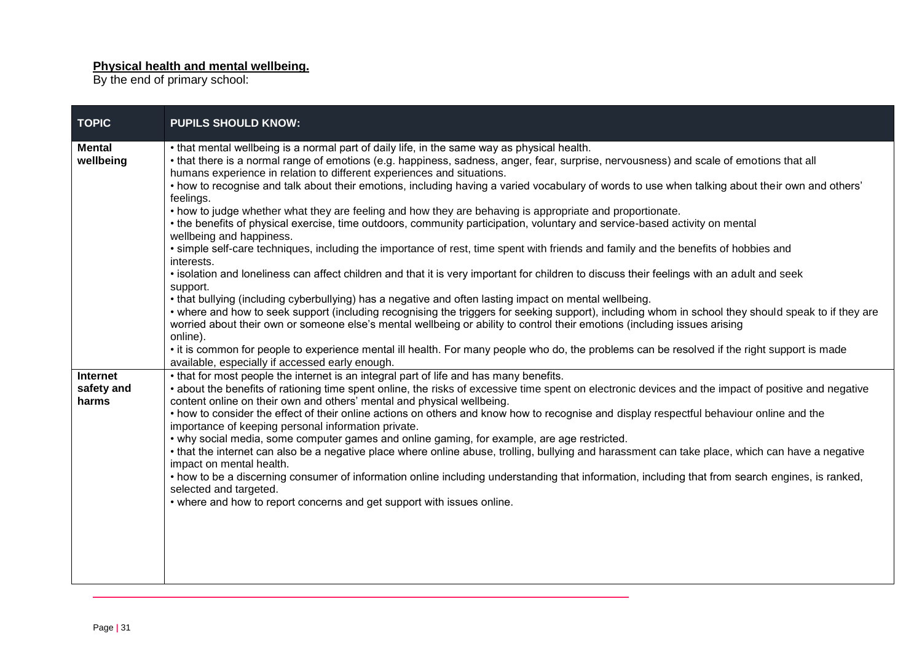#### **Physical health and mental wellbeing.**

By the end of primary school:

and the control of the control of the control of the control of the control of the control of the control of the

| <b>TOPIC</b>                    | <b>PUPILS SHOULD KNOW:</b>                                                                                                                                                                                                                                                                                                                                                                                                                                                                                                                                                                                                                                                                                                                                                                                                                                                                                                                                                                                                                                                                                                                                                                                                                                                                                                                                                                                                                                                                                                                                                                                                                                                          |
|---------------------------------|-------------------------------------------------------------------------------------------------------------------------------------------------------------------------------------------------------------------------------------------------------------------------------------------------------------------------------------------------------------------------------------------------------------------------------------------------------------------------------------------------------------------------------------------------------------------------------------------------------------------------------------------------------------------------------------------------------------------------------------------------------------------------------------------------------------------------------------------------------------------------------------------------------------------------------------------------------------------------------------------------------------------------------------------------------------------------------------------------------------------------------------------------------------------------------------------------------------------------------------------------------------------------------------------------------------------------------------------------------------------------------------------------------------------------------------------------------------------------------------------------------------------------------------------------------------------------------------------------------------------------------------------------------------------------------------|
| <b>Mental</b><br>wellbeing      | . that mental wellbeing is a normal part of daily life, in the same way as physical health.<br>• that there is a normal range of emotions (e.g. happiness, sadness, anger, fear, surprise, nervousness) and scale of emotions that all<br>humans experience in relation to different experiences and situations.<br>• how to recognise and talk about their emotions, including having a varied vocabulary of words to use when talking about their own and others'<br>feelings.<br>• how to judge whether what they are feeling and how they are behaving is appropriate and proportionate.<br>• the benefits of physical exercise, time outdoors, community participation, voluntary and service-based activity on mental<br>wellbeing and happiness.<br>• simple self-care techniques, including the importance of rest, time spent with friends and family and the benefits of hobbies and<br>interests.<br>• isolation and loneliness can affect children and that it is very important for children to discuss their feelings with an adult and seek<br>support.<br>• that bullying (including cyberbullying) has a negative and often lasting impact on mental wellbeing.<br>• where and how to seek support (including recognising the triggers for seeking support), including whom in school they should speak to if they are<br>worried about their own or someone else's mental wellbeing or ability to control their emotions (including issues arising<br>online).<br>• it is common for people to experience mental ill health. For many people who do, the problems can be resolved if the right support is made<br>available, especially if accessed early enough. |
| Internet<br>safety and<br>harms | • that for most people the internet is an integral part of life and has many benefits.<br>• about the benefits of rationing time spent online, the risks of excessive time spent on electronic devices and the impact of positive and negative<br>content online on their own and others' mental and physical wellbeing.<br>• how to consider the effect of their online actions on others and know how to recognise and display respectful behaviour online and the<br>importance of keeping personal information private.<br>• why social media, some computer games and online gaming, for example, are age restricted.<br>• that the internet can also be a negative place where online abuse, trolling, bullying and harassment can take place, which can have a negative<br>impact on mental health.<br>• how to be a discerning consumer of information online including understanding that information, including that from search engines, is ranked,<br>selected and targeted.<br>• where and how to report concerns and get support with issues online.                                                                                                                                                                                                                                                                                                                                                                                                                                                                                                                                                                                                                  |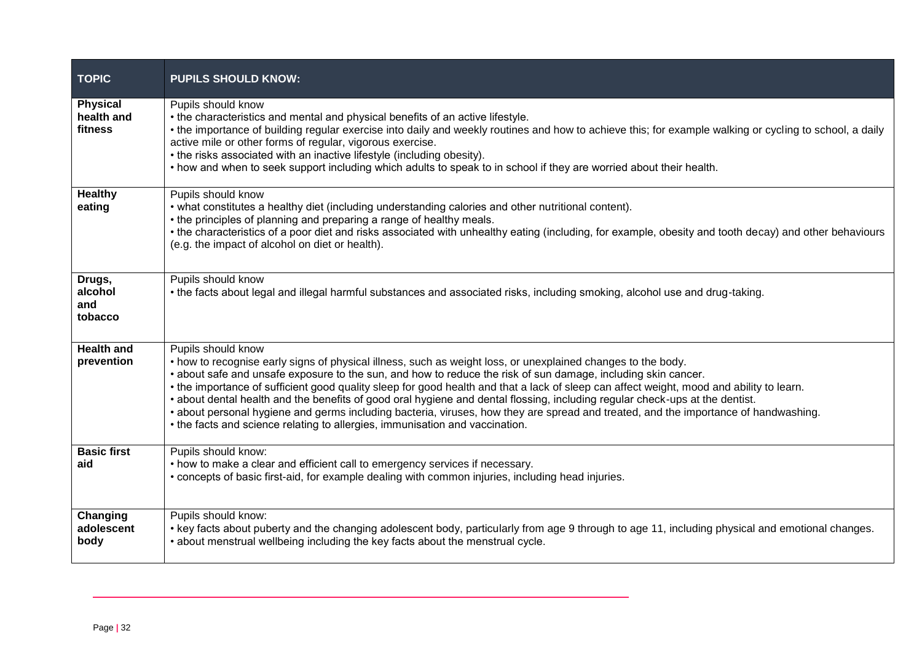| <b>TOPIC</b>                             | <b>PUPILS SHOULD KNOW:</b>                                                                                                                                                                                                                                                                                                                                                                                                                                                                                                                                                                                                                                                                                                                             |
|------------------------------------------|--------------------------------------------------------------------------------------------------------------------------------------------------------------------------------------------------------------------------------------------------------------------------------------------------------------------------------------------------------------------------------------------------------------------------------------------------------------------------------------------------------------------------------------------------------------------------------------------------------------------------------------------------------------------------------------------------------------------------------------------------------|
| <b>Physical</b><br>health and<br>fitness | Pupils should know<br>• the characteristics and mental and physical benefits of an active lifestyle.<br>• the importance of building regular exercise into daily and weekly routines and how to achieve this; for example walking or cycling to school, a daily<br>active mile or other forms of regular, vigorous exercise.<br>• the risks associated with an inactive lifestyle (including obesity).<br>• how and when to seek support including which adults to speak to in school if they are worried about their health.                                                                                                                                                                                                                          |
| <b>Healthy</b><br>eating                 | Pupils should know<br>• what constitutes a healthy diet (including understanding calories and other nutritional content).<br>• the principles of planning and preparing a range of healthy meals.<br>• the characteristics of a poor diet and risks associated with unhealthy eating (including, for example, obesity and tooth decay) and other behaviours<br>(e.g. the impact of alcohol on diet or health).                                                                                                                                                                                                                                                                                                                                         |
| Drugs,<br>alcohol<br>and<br>tobacco      | Pupils should know<br>• the facts about legal and illegal harmful substances and associated risks, including smoking, alcohol use and drug-taking.                                                                                                                                                                                                                                                                                                                                                                                                                                                                                                                                                                                                     |
| <b>Health and</b><br>prevention          | Pupils should know<br>• how to recognise early signs of physical illness, such as weight loss, or unexplained changes to the body.<br>• about safe and unsafe exposure to the sun, and how to reduce the risk of sun damage, including skin cancer.<br>• the importance of sufficient good quality sleep for good health and that a lack of sleep can affect weight, mood and ability to learn.<br>• about dental health and the benefits of good oral hygiene and dental flossing, including regular check-ups at the dentist.<br>• about personal hygiene and germs including bacteria, viruses, how they are spread and treated, and the importance of handwashing.<br>• the facts and science relating to allergies, immunisation and vaccination. |
| <b>Basic first</b><br>aid                | Pupils should know:<br>• how to make a clear and efficient call to emergency services if necessary.<br>• concepts of basic first-aid, for example dealing with common injuries, including head injuries.                                                                                                                                                                                                                                                                                                                                                                                                                                                                                                                                               |
| Changing<br>adolescent<br>body           | Pupils should know:<br>• key facts about puberty and the changing adolescent body, particularly from age 9 through to age 11, including physical and emotional changes.<br>• about menstrual wellbeing including the key facts about the menstrual cycle.                                                                                                                                                                                                                                                                                                                                                                                                                                                                                              |